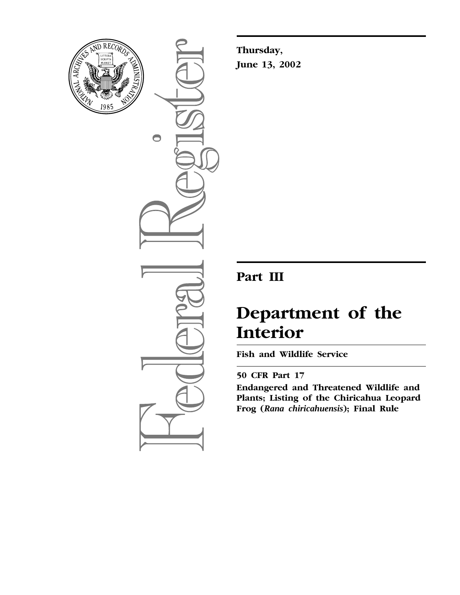

 $\bigcirc$ 

**Thursday, June 13, 2002**

## **Part III**

# **Department of the Interior**

**Fish and Wildlife Service** 

### **50 CFR Part 17**

**Endangered and Threatened Wildlife and Plants; Listing of the Chiricahua Leopard Frog (***Rana chiricahuensis***); Final Rule**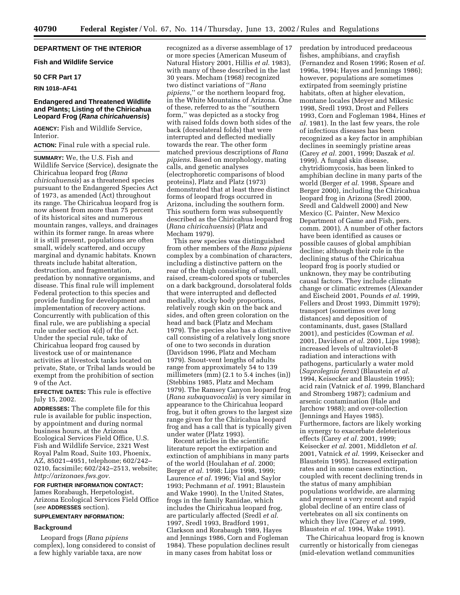#### **DEPARTMENT OF THE INTERIOR**

#### **Fish and Wildlife Service**

#### **50 CFR Part 17**

#### **RIN 1018–AF41**

#### **Endangered and Threatened Wildlife and Plants; Listing of the Chiricahua Leopard Frog (Rana chiricahuensis)**

**AGENCY:** Fish and Wildlife Service, Interior.

**ACTION:** Final rule with a special rule.

**SUMMARY:** We, the U.S. Fish and Wildlife Service (Service), designate the Chiricahua leopard frog (*Rana chiricahuensis*) as a threatened species pursuant to the Endangered Species Act of 1973, as amended (Act) throughout its range. The Chiricahua leopard frog is now absent from more than 75 percent of its historical sites and numerous mountain ranges, valleys, and drainages within its former range. In areas where it is still present, populations are often small, widely scattered, and occupy marginal and dynamic habitats. Known threats include habitat alteration, destruction, and fragmentation, predation by nonnative organisms, and disease. This final rule will implement Federal protection to this species and provide funding for development and implementation of recovery actions. Concurrently with publication of this final rule, we are publishing a special rule under section 4(d) of the Act. Under the special rule, take of Chiricahua leopard frog caused by livestock use of or maintenance activities at livestock tanks located on private, State, or Tribal lands would be exempt from the prohibition of section 9 of the Act.

**EFFECTIVE DATES:** This rule is effective July 15, 2002.

**ADDRESSES:** The complete file for this rule is available for public inspection, by appointment and during normal business hours, at the Arizona Ecological Services Field Office, U.S. Fish and Wildlife Service, 2321 West Royal Palm Road, Suite 103, Phoenix, AZ, 85021–4951, telephone; 602/242– 0210, facsimile; 602/242–2513, website; *http://arizonaes.fws.gov.*

**FOR FURTHER INFORMATION CONTACT:** James Rorabaugh, Herpetologist, Arizona Ecological Services Field Office (*see* **ADDRESSES** section).

#### **SUPPLEMENTARY INFORMATION:**

#### **Background**

Leopard frogs (*Rana pipiens* complex), long considered to consist of a few highly variable taxa, are now

recognized as a diverse assemblage of 17 or more species (American Museum of Natural History 2001, Hillis *et al.* 1983), with many of these described in the last 30 years. Mecham (1968) recognized two distinct variations of ''*Rana pipiens*,'' or the northern leopard frog, in the White Mountains of Arizona. One of these, referred to as the ''southern form,'' was depicted as a stocky frog with raised folds down both sides of the back (dorsolateral folds) that were interrupted and deflected medially towards the rear. The other form matched previous descriptions of *Rana pipiens*. Based on morphology, mating calls, and genetic analyses (electrophoretic comparisons of blood proteins), Platz and Platz (1973) demonstrated that at least three distinct forms of leopard frogs occurred in Arizona, including the southern form. This southern form was subsequently described as the Chiricahua leopard frog (*Rana chiricahuensis*) (Platz and Mecham 1979).

This new species was distinguished from other members of the *Rana pipiens* complex by a combination of characters, including a distinctive pattern on the rear of the thigh consisting of small, raised, cream-colored spots or tubercles on a dark background, dorsolateral folds that were interrupted and deflected medially, stocky body proportions, relatively rough skin on the back and sides, and often green coloration on the head and back (Platz and Mecham 1979). The species also has a distinctive call consisting of a relatively long snore of one to two seconds in duration (Davidson 1996, Platz and Mecham 1979). Snout-vent lengths of adults range from approximately 54 to 139 millimeters (mm) (2.1 to 5.4 inches (in)) (Stebbins 1985, Platz and Mecham 1979). The Ramsey Canyon leopard frog (*Rana subaquavocalis*) is very similar in appearance to the Chiricahua leopard frog, but it often grows to the largest size range given for the Chiricahua leopard frog and has a call that is typically given under water (Platz 1993).

Recent articles in the scientific literature report the extirpation and extinction of amphibians in many parts of the world (Houlahan *et al.* 2000; Berger *et al.* 1998; Lips 1998, 1999; Laurence *et al.* 1996; Vial and Saylor 1993; Pechmann *et al.* 1991; Blaustein and Wake 1990). In the United States, frogs in the family Ranidae, which includes the Chiricahua leopard frog, are particularly affected (Sredl *et al.* 1997, Sredl 1993, Bradford 1991, Clarkson and Rorabaugh 1989, Hayes and Jennings 1986, Corn and Fogleman 1984). These population declines result in many cases from habitat loss or

predation by introduced predaceous fishes, amphibians, and crayfish (Fernandez and Rosen 1996; Rosen *et al.* 1996a, 1994; Hayes and Jennings 1986); however, populations are sometimes extirpated from seemingly pristine habitats, often at higher elevation, montane locales (Meyer and Mikesic 1998, Sredl 1993, Drost and Fellers 1993, Corn and Fogleman 1984, Hines *et al.* 1981). In the last few years, the role of infectious diseases has been recognized as a key factor in amphibian declines in seemingly pristine areas (Carey *et al.* 2001, 1999; Daszak *et al.* 1999). A fungal skin disease, chytridiomycosis, has been linked to amphibian decline in many parts of the world (Berger *et al.* 1998, Speare and Berger 2000), including the Chiricahua leopard frog in Arizona (Sredl 2000, Sredl and Caldwell 2000) and New Mexico (C. Painter, New Mexico Department of Game and Fish, pers. comm. 2001). A number of other factors have been identified as causes or possible causes of global amphibian decline; although their role in the declining status of the Chiricahua leopard frog is poorly studied or unknown, they may be contributing causal factors. They include climate change or climatic extremes (Alexander and Eischeid 2001, Pounds *et al.* 1999, Fellers and Drost 1993, Dimmitt 1979); transport (sometimes over long distances) and deposition of contaminants, dust, gases (Stallard 2001), and pesticides (Cowman *et al.* 2001, Davidson *et al.* 2001, Lips 1998); increased levels of ultraviolet-B radiation and interactions with pathogens, particularly a water mold (*Saprolegnia ferax*) (Blaustein *et al.* 1994, Keisecker and Blaustein 1995); acid rain (Vatnick *et al.* 1999, Blanchard and Stromberg 1987); cadmium and arsenic contamination (Hale and Jarchow 1988); and over-collection (Jennings and Hayes 1985). Furthermore, factors are likely working in synergy to exacerbate deleterious effects (Carey *et al.* 2001, 1999; Keisecker *et al.* 2001, Middleton *et al.* 2001, Vatnick *et al.* 1999, Keisecker and Blaustein 1995). Increased extirpation rates and in some cases extinction, coupled with recent declining trends in the status of many amphibian populations worldwide, are alarming and represent a very recent and rapid global decline of an entire class of vertebrates on all six continents on which they live (Carey *et al.* 1999, Blaustein *et al.* 1994, Wake 1991).

The Chiricahua leopard frog is known currently or historically from cienegas (mid-elevation wetland communities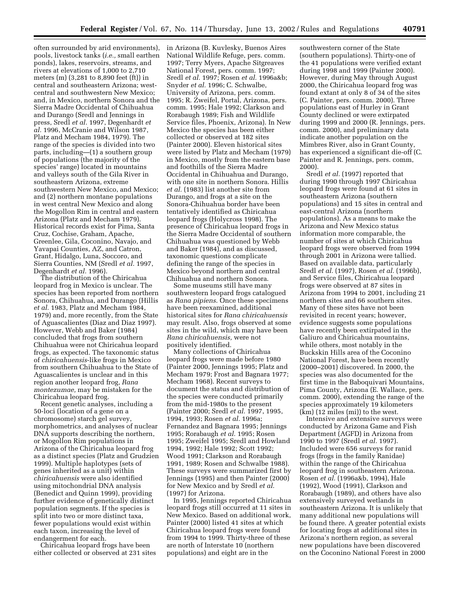often surrounded by arid environments), pools, livestock tanks (*i.e.,* small earthen ponds), lakes, reservoirs, streams, and rivers at elevations of 1,000 to 2,710 meters (m) (3,281 to 8,890 feet (ft)) in central and southeastern Arizona; westcentral and southwestern New Mexico; and, in Mexico, northern Sonora and the Sierra Madre Occidental of Chihuahua and Durango (Sredl and Jennings in press, Sredl *et al.* 1997, Degenhardt *et al.* 1996, McCranie and Wilson 1987, Platz and Mecham 1984, 1979). The range of the species is divided into two parts, including—(1) a southern group of populations (the majority of the species' range) located in mountains and valleys south of the Gila River in southeastern Arizona, extreme southwestern New Mexico, and Mexico; and (2) northern montane populations in west central New Mexico and along the Mogollon Rim in central and eastern Arizona (Platz and Mecham 1979). Historical records exist for Pima, Santa Cruz, Cochise, Graham, Apache, Greenlee, Gila, Coconino, Navajo, and Yavapai Counties, AZ, and Catron, Grant, Hidalgo, Luna, Soccoro, and Sierra Counties, NM (Sredl *et al.* 1997, Degenhardt *et al.* 1996).

The distribution of the Chiricahua leopard frog in Mexico is unclear. The species has been reported from northern Sonora, Chihuahua, and Durango (Hillis *et al.* 1983, Platz and Mecham 1984, 1979) and, more recently, from the State of Aguascalientes (Diaz and Diaz 1997). However, Webb and Baker (1984) concluded that frogs from southern Chihuahua were not Chiricahua leopard frogs, as expected. The taxonomic status of *chiricahuensis*-like frogs in Mexico from southern Chihuahua to the State of Aguascalientes is unclear and in this region another leopard frog, *Rana montezumae,* may be mistaken for the Chiricahua leopard frog.

Recent genetic analyses, including a 50-loci (location of a gene on a chromosome) starch gel survey, morphometrics, and analyses of nuclear DNA supports describing the northern, or Mogollon Rim populations in Arizona of the Chiricahua leopard frog as a distinct species (Platz and Grudzien 1999). Multiple haplotypes (sets of genes inherited as a unit) within *chiricahuensis* were also identified using mitochondrial DNA analysis (Benedict and Quinn 1999), providing further evidence of genetically distinct population segments. If the species is split into two or more distinct taxa, fewer populations would exist within each taxon, increasing the level of endangerment for each.

Chiricahua leopard frogs have been either collected or observed at 231 sites in Arizona (B. Kuvlesky, Buenos Aires National Wildlife Refuge, pers. comm. 1997; Terry Myers, Apache Sitgreaves National Forest, pers. comm. 1997; Sredl *et al.* 1997; Rosen *et al.* 1996a&b; Snyder *et al.* 1996; C. Schwalbe, University of Arizona, pers. comm. 1995; R. Zweifel, Portal, Arizona, pers. comm. 1995; Hale 1992; Clarkson and Rorabaugh 1989; Fish and Wildlife Service files, Phoenix, Arizona). In New Mexico the species has been either collected or observed at 182 sites (Painter 2000). Eleven historical sites were listed by Platz and Mecham (1979) in Mexico, mostly from the eastern base and foothills of the Sierra Madre Occidental in Chihuahua and Durango, with one site in northern Sonora. Hillis *et al.* (1983) list another site from Durango, and frogs at a site on the Sonora-Chihuahua border have been tentatively identified as Chiricahua leopard frogs (Holycross 1998). The presence of Chiricahua leopard frogs in the Sierra Madre Occidental of southern Chihuahua was questioned by Webb and Baker (1984), and as discussed, taxonomic questions complicate defining the range of the species in Mexico beyond northern and central Chihuahua and northern Sonora.

Some museums still have many southwestern leopard frogs catalogued as *Rana pipiens*. Once these specimens have been reexamined, additional historical sites for *Rana chiricahuensis* may result. Also, frogs observed at some sites in the wild, which may have been *Rana chiricahuensis,* were not positively identified.

Many collections of Chiricahua leopard frogs were made before 1980 (Painter 2000, Jennings 1995; Platz and Mecham 1979; Frost and Bagnara 1977; Mecham 1968). Recent surveys to document the status and distribution of the species were conducted primarily from the mid-1980s to the present (Painter 2000; Sredl *et al.* 1997, 1995, 1994, 1993; Rosen *et al.* 1996a; Fernandez and Bagnara 1995; Jennings 1995; Rorabaugh *et al.* 1995; Rosen 1995; Zweifel 1995; Sredl and Howland 1994, 1992; Hale 1992; Scott 1992; Wood 1991; Clarkson and Rorabaugh 1991, 1989; Rosen and Schwalbe 1988). These surveys were summarized first by Jennings (1995) and then Painter (2000) for New Mexico and by Sredl *et al.* (1997) for Arizona.

In 1995, Jennings reported Chiricahua leopard frogs still occurred at 11 sites in New Mexico. Based on additional work, Painter (2000) listed 41 sites at which Chiricahua leopard frogs were found from 1994 to 1999. Thirty-three of these are north of Interstate 10 (northern populations) and eight are in the

southwestern corner of the State (southern populations). Thirty-one of the 41 populations were verified extant during 1998 and 1999 (Painter 2000). However, during May through August 2000, the Chiricahua leopard frog was found extant at only 8 of 34 of the sites (C. Painter, pers. comm. 2000). Three populations east of Hurley in Grant County declined or were extirpated during 1999 and 2000 (R. Jennings, pers. comm. 2000), and preliminary data indicate another population on the Mimbres River, also in Grant County, has experienced a significant die-off (C. Painter and R. Jennings, pers. comm, 2000).

Sredl *et al.* (1997) reported that during 1990 through 1997 Chiricahua leopard frogs were found at 61 sites in southeastern Arizona (southern populations) and 15 sites in central and east-central Arizona (northern populations). As a means to make the Arizona and New Mexico status information more comparable, the number of sites at which Chiricahua leopard frogs were observed from 1994 through 2001 in Arizona were tallied. Based on available data, particularly Sredl *et al.* (1997), Rosen *et al.* (1996b), and Service files, Chiricahua leopard frogs were observed at 87 sites in Arizona from 1994 to 2001, including 21 northern sites and 66 southern sites. Many of these sites have not been revisited in recent years; however, evidence suggests some populations have recently been extirpated in the Galiuro and Chiricahua mountains, while others, most notably in the Buckskin Hills area of the Coconino National Forest, have been recently (2000–2001) discovered. In 2000, the species was also documented for the first time in the Baboquivari Mountains, Pima County, Arizona (E. Wallace, pers. comm. 2000), extending the range of the species approximately 19 kilometers (km) (12 miles (mi)) to the west.

Intensive and extensive surveys were conducted by Arizona Game and Fish Department (AGFD) in Arizona from 1990 to 1997 (Sredl *et al.* 1997). Included were 656 surveys for ranid frogs (frogs in the family Ranidae) within the range of the Chiricahua leopard frog in southeastern Arizona. Rosen *et al.* (1996a&b, 1994), Hale (1992), Wood (1991), Clarkson and Rorabaugh (1989), and others have also extensively surveyed wetlands in southeastern Arizona. It is unlikely that many additional new populations will be found there. A greater potential exists for locating frogs at additional sites in Arizona's northern region, as several new populations have been discovered on the Coconino National Forest in 2000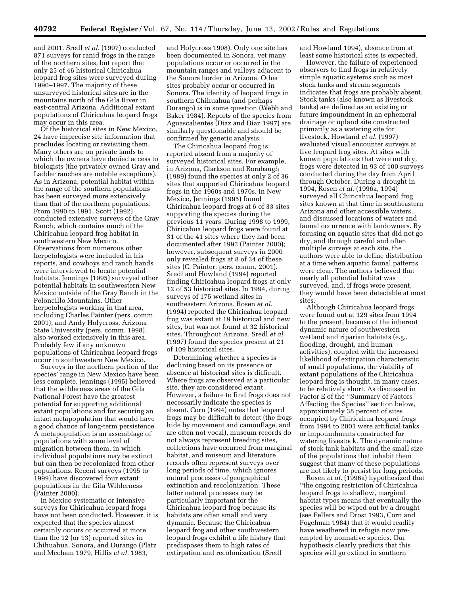and 2001. Sredl *et al.* (1997) conducted 871 surveys for ranid frogs in the range of the northern sites, but report that only 25 of 46 historical Chiricahua leopard frog sites were surveyed during 1990–1997. The majority of these unsurveyed historical sites are in the mountains north of the Gila River in east-central Arizona. Additional extant populations of Chiricahua leopard frogs may occur in this area.

Of the historical sites in New Mexico, 24 have imprecise site information that precludes locating or revisiting them. Many others are on private lands to which the owners have denied access to biologists (the privately owned Gray and Ladder ranches are notable exceptions). As in Arizona, potential habitat within the range of the southern populations has been surveyed more extensively than that of the northern populations. From 1990 to 1991, Scott (1992) conducted extensive surveys of the Gray Ranch, which contains much of the Chiricahua leopard frog habitat in southwestern New Mexico. Observations from numerous other herpetologists were included in his reports, and cowboys and ranch hands were interviewed to locate potential habitats. Jennings (1995) surveyed other potential habitats in southwestern New Mexico outside of the Gray Ranch in the Peloncillo Mountains. Other herpetologists working in that area, including Charles Painter (pers. comm. 2001), and Andy Holycross, Arizona State University (pers. comm. 1998), also worked extensively in this area. Probably few if any unknown populations of Chiricahua leopard frogs occur in southwestern New Mexico.

Surveys in the northern portion of the species' range in New Mexico have been less complete. Jennings (1995) believed that the wilderness areas of the Gila National Forest have the greatest potential for supporting additional extant populations and for securing an intact metapopulation that would have a good chance of long-term persistence. A metapopulation is an assemblage of populations with some level of migration between them, in which individual populations may be extinct but can then be recolonized from other populations. Recent surveys (1995 to 1999) have discovered four extant populations in the Gila Wilderness (Painter 2000).

In Mexico systematic or intensive surveys for Chiricahua leopard frogs have not been conducted. However, it is expected that the species almost certainly occurs or occurred at more than the 12 (or 13) reported sites in Chihuahua, Sonora, and Durango (Platz and Mecham 1979, Hillis *et al.* 1983,

and Holycross 1998). Only one site has been documented in Sonora, yet many populations occur or occurred in the mountain ranges and valleys adjacent to the Sonora border in Arizona. Other sites probably occur or occurred in Sonora. The identity of leopard frogs in southern Chihuahua (and perhaps Durango) is in some question (Webb and Baker 1984). Reports of the species from Aguascalientes (Diaz and Diaz 1997) are similarly questionable and should be confirmed by genetic analysis.

The Chiricahua leopard frog is reported absent from a majority of surveyed historical sites. For example, in Arizona, Clarkson and Rorabaugh (1989) found the species at only 2 of 36 sites that supported Chiricahua leopard frogs in the 1960s and 1970s. In New Mexico, Jennings (1995) found Chiricahua leopard frogs at 6 of 33 sites supporting the species during the previous 11 years. During 1998 to 1999, Chiricahua leopard frogs were found at 31 of the 41 sites where they had been documented after 1993 (Painter 2000); however, subsequent surveys in 2000 only revealed frogs at 8 of 34 of these sites (C. Painter, pers. comm. 2001). Sredl and Howland (1994) reported finding Chiricahua leopard frogs at only 12 of 53 historical sites. In 1994, during surveys of 175 wetland sites in southeastern Arizona, Rosen *et al.* (1994) reported the Chiricahua leopard frog was extant at 19 historical and new sites, but was not found at 32 historical sites. Throughout Arizona, Sredl *et al.* (1997) found the species present at 21 of 109 historical sites.

Determining whether a species is declining based on its presence or absence at historical sites is difficult. Where frogs are observed at a particular site, they are considered extant. However, a failure to find frogs does not necessarily indicate the species is absent. Corn (1994) notes that leopard frogs may be difficult to detect (the frogs hide by movement and camouflage, and are often not vocal), museum records do not always represent breeding sites, collections have occurred from marginal habitat, and museum and literature records often represent surveys over long periods of time, which ignores natural processes of geographical extinction and recolonization. These latter natural processes may be particularly important for the Chiricahua leopard frog because its habitats are often small and very dynamic. Because the Chiricahua leopard frog and other southwestern leopard frogs exhibit a life history that predisposes them to high rates of extirpation and recolonization (Sredl

and Howland 1994), absence from at least some historical sites is expected.

However, the failure of experienced observers to find frogs in relatively simple aquatic systems such as most stock tanks and stream segments indicates that frogs are probably absent. Stock tanks (also known as livestock tanks) are defined as an existing or future impoundment in an ephemeral drainage or upland site constructed primarily as a watering site for livestock. Howland *et al.* (1997) evaluated visual encounter surveys at five leopard frog sites. At sites with known populations that were not dry, frogs were detected in 93 of 100 surveys conducted during the day from April through October. During a drought in 1994, Rosen *et al.* (1996a, 1994) surveyed all Chiricahua leopard frog sites known at that time in southeastern Arizona and other accessible waters, and discussed locations of waters and faunal occurrence with landowners. By focusing on aquatic sites that did not go dry, and through careful and often multiple surveys at each site, the authors were able to define distribution at a time when aquatic faunal patterns were clear. The authors believed that nearly all potential habitat was surveyed, and, if frogs were present, they would have been detectable at most sites

Although Chiricahua leopard frogs were found out at 129 sites from 1994 to the present, because of the inherent dynamic nature of southwestern wetland and riparian habitats (e.g., flooding, drought, and human activities), coupled with the increased likelihood of extirpation characteristic of small populations, the viability of extant populations of the Chiricahua leopard frog is thought, in many cases, to be relatively short. As discussed in Factor E of the ''Summary of Factors Affecting the Species'' section below, approximately 38 percent of sites occupied by Chiricahua leopard frogs from 1994 to 2001 were artificial tanks or impoundments constructed for watering livestock. The dynamic nature of stock tank habitats and the small size of the populations that inhabit them suggest that many of these populations are not likely to persist for long periods.

Rosen *et al.* (1996a) hypothesized that ''the ongoing restriction of Chiricahua leopard frogs to shallow, marginal habitat types means that eventually the species will be wiped out by a drought (see Fellers and Drost 1993, Corn and Fogelman 1984) that it would readily have weathered in refugia now preempted by nonnative species. Our hypothesis clearly predicts that this species will go extinct in southern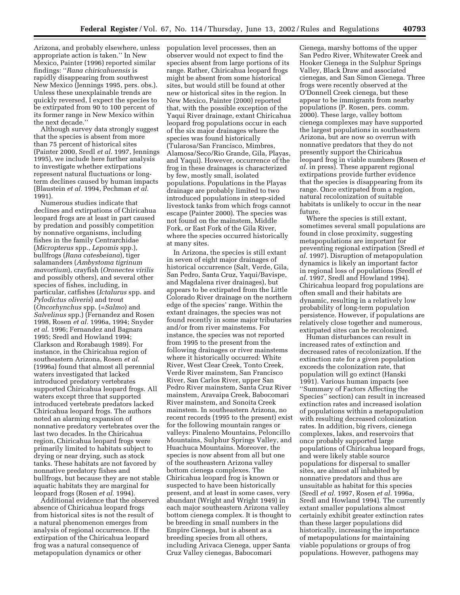Arizona, and probably elsewhere, unless appropriate action is taken.'' In New Mexico, Painter (1996) reported similar findings: ''*Rana chiricahuensis* is rapidly disappearing from southwest New Mexico (Jennings 1995, pers. obs.). Unless these unexplainable trends are quickly reversed, I expect the species to be extirpated from 90 to 100 percent of its former range in New Mexico within the next decade.''

Although survey data strongly suggest that the species is absent from more than 75 percent of historical sites (Painter 2000, Sredl *et al.* 1997, Jennings 1995), we include here further analysis to investigate whether extirpations represent natural fluctuations or longterm declines caused by human impacts (Blaustein *et al.* 1994, Pechman *et al.* 1991).

Numerous studies indicate that declines and extirpations of Chiricahua leopard frogs are at least in part caused by predation and possibly competition by nonnative organisms, including fishes in the family Centrarchidae (*Micropterus* spp., *Lepomis* spp.), bullfrogs (*Rana catesbeiana*), tiger salamanders (*Ambystoma tigrinum mavortium*), crayfish (*Oronectes virilis* and possibly others), and several other species of fishes, including, in particular, catfishes (*Ictalurus* spp. and *Pylodictus oliveris*) and trout (*Oncorhynchus* spp. (=*Salmo*) and *Salvelinus* spp.) (Fernandez and Rosen 1998, Rosen *et al.* 1996a, 1994; Snyder *et al.* 1996; Fernandez and Bagnara 1995; Sredl and Howland 1994; Clarkson and Rorabaugh 1989). For instance, in the Chiricahua region of southeastern Arizona, Rosen *et al.* (1996a) found that almost all perennial waters investigated that lacked introduced predatory vertebrates supported Chiricahua leopard frogs. All waters except three that supported introduced vertebrate predators lacked Chiricahua leopard frogs. The authors noted an alarming expansion of nonnative predatory vertebrates over the last two decades. In the Chiricahua region, Chiricahua leopard frogs were primarily limited to habitats subject to drying or near drying, such as stock tanks. These habitats are not favored by nonnative predatory fishes and bullfrogs, but because they are not stable aquatic habitats they are marginal for leopard frogs (Rosen *et al.* 1994).

Additional evidence that the observed absence of Chiricahua leopard frogs from historical sites is not the result of a natural phenomenon emerges from analysis of regional occurrence. If the extirpation of the Chiricahua leopard frog was a natural consequence of metapopulation dynamics or other

population level processes, then an observer would not expect to find the species absent from large portions of its range. Rather, Chiricahua leopard frogs might be absent from some historical sites, but would still be found at other new or historical sites in the region. In New Mexico, Painter (2000) reported that, with the possible exception of the Yaqui River drainage, extant Chiricahua leopard frog populations occur in each of the six major drainages where the species was found historically (Tularosa/San Francisco, Mimbres, Alamosa/Seco/Rio Grande, Gila, Playas, and Yaqui). However, occurrence of the frog in these drainages is characterized by few, mostly small, isolated populations. Populations in the Playas drainage are probably limited to two introduced populations in steep-sided livestock tanks from which frogs cannot escape (Painter 2000). The species was not found on the mainstem, Middle Fork, or East Fork of the Gila River, where the species occurred historically at many sites.

In Arizona, the species is still extant in seven of eight major drainages of historical occurrence (Salt, Verde, Gila, San Pedro, Santa Cruz, Yaqui/Bavispe, and Magdalena river drainages), but appears to be extirpated from the Little Colorado River drainage on the northern edge of the species' range. Within the extant drainages, the species was not found recently in some major tributaries and/or from river mainstems. For instance, the species was not reported from 1995 to the present from the following drainages or river mainstems where it historically occurred: White River, West Clear Creek, Tonto Creek, Verde River mainstem, San Francisco River, San Carlos River, upper San Pedro River mainstem, Santa Cruz River mainstem, Aravaipa Creek, Babocomari River mainstem, and Sonoita Creek mainstem. In southeastern Arizona, no recent records (1995 to the present) exist for the following mountain ranges or valleys: Pinaleno Mountains, Peloncillo Mountains, Sulphur Springs Valley, and Huachuca Mountains. Moreover, the species is now absent from all but one of the southeastern Arizona valley bottom cienega complexes. The Chiricahua leopard frog is known or suspected to have been historically present, and at least in some cases, very abundant (Wright and Wright 1949) in each major southeastern Arizona valley bottom cienega complex. It is thought to be breeding in small numbers in the Empire Cienega, but is absent as a breeding species from all others, including Arivaca Cienega, upper Santa Cruz Valley cienegas, Babocomari

Cienega, marshy bottoms of the upper San Pedro River, Whitewater Creek and Hooker Cienega in the Sulphur Springs Valley, Black Draw and associated cienegas, and San Simon Cienega. Three frogs were recently observed at the O'Donnell Creek cienega, but these appear to be immigrants from nearby populations (P. Rosen, pers. comm. 2000). These large, valley bottom cienega complexes may have supported the largest populations in southeastern Arizona, but are now so overrun with nonnative predators that they do not presently support the Chiricahua leopard frog in viable numbers (Rosen *et al.* in press). These apparent regional extirpations provide further evidence that the species is disappearing from its range. Once extirpated from a region, natural recolonization of suitable habitats is unlikely to occur in the near future.

Where the species is still extant, sometimes several small populations are found in close proximity, suggesting metapopulations are important for preventing regional extirpation (Sredl *et al.* 1997). Disruption of metapopulation dynamics is likely an important factor in regional loss of populations (Sredl *et al.* 1997, Sredl and Howland 1994). Chiricahua leopard frog populations are often small and their habitats are dynamic, resulting in a relatively low probability of long-term population persistence. However, if populations are relatively close together and numerous, extirpated sites can be recolonized.

Human disturbances can result in increased rates of extinction and decreased rates of recolonization. If the extinction rate for a given population exceeds the colonization rate, that population will go extinct (Hanski 1991). Various human impacts (see ''Summary of Factors Affecting the Species'' section) can result in increased extinction rates and increased isolation of populations within a metapopulation with resulting decreased colonization rates. In addition, big rivers, cienega complexes, lakes, and reservoirs that once probably supported large populations of Chiricahua leopard frogs, and were likely stable source populations for dispersal to smaller sites, are almost all inhabited by nonnative predators and thus are unsuitable as habitat for this species (Sredl *et al.* 1997, Rosen *et al.* 1996a, Sredl and Howland 1994). The currently extant smaller populations almost certainly exhibit greater extinction rates than these larger populations did historically, increasing the importance of metapopulations for maintaining viable populations or groups of frog populations. However, pathogens may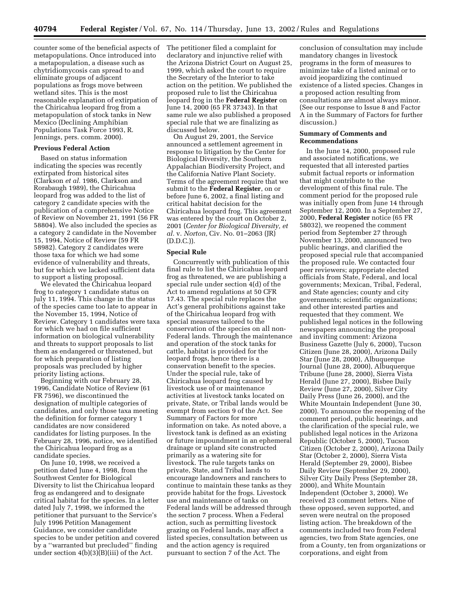counter some of the beneficial aspects of metapopulations. Once introduced into a metapopulation, a disease such as chytridiomycosis can spread to and eliminate groups of adjacent populations as frogs move between wetland sites. This is the most reasonable explanation of extirpation of the Chiricahua leopard frog from a metapopulation of stock tanks in New Mexico (Declining Amphibian Populations Task Force 1993, R. Jennings, pers. comm. 2000).

#### **Previous Federal Action**

Based on status information indicating the species was recently extirpated from historical sites (Clarkson *et al.* 1986, Clarkson and Rorabaugh 1989), the Chiricahua leopard frog was added to the list of category 2 candidate species with the publication of a comprehensive Notice of Review on November 21, 1991 (56 FR 58804). We also included the species as a category 2 candidate in the November 15, 1994, Notice of Review (59 FR 58982). Category 2 candidates were those taxa for which we had some evidence of vulnerability and threats, but for which we lacked sufficient data to support a listing proposal.

We elevated the Chiricahua leopard frog to category 1 candidate status on July 11, 1994. This change in the status of the species came too late to appear in the November 15, 1994, Notice of Review. Category 1 candidates were taxa for which we had on file sufficient information on biological vulnerability and threats to support proposals to list them as endangered or threatened, but for which preparation of listing proposals was precluded by higher priority listing actions.

Beginning with our February 28, 1996, Candidate Notice of Review (61 FR 7596), we discontinued the designation of multiple categories of candidates, and only those taxa meeting the definition for former category 1 candidates are now considered candidates for listing purposes. In the February 28, 1996, notice, we identified the Chiricahua leopard frog as a candidate species.

On June 10, 1998, we received a petition dated June 4, 1998, from the Southwest Center for Biological Diversity to list the Chiricahua leopard frog as endangered and to designate critical habitat for the species. In a letter dated July 7, 1998, we informed the petitioner that pursuant to the Service's July 1996 Petition Management Guidance, we consider candidate species to be under petition and covered by a ''warranted but precluded'' finding under section  $4(b)(3)(B)(iii)$  of the Act.

The petitioner filed a complaint for declaratory and injunctive relief with the Arizona District Court on August 25, 1999, which asked the court to require the Secretary of the Interior to take action on the petition. We published the proposed rule to list the Chiricahua leopard frog in the **Federal Register** on June 14, 2000 (65 FR 37343). In that same rule we also published a proposed special rule that we are finalizing as discussed below.

On August 29, 2001, the Service announced a settlement agreement in response to litigation by the Center for Biological Diversity, the Southern Appalachian Biodiversity Project, and the California Native Plant Society. Terms of the agreement require that we submit to the **Federal Register**, on or before June 6, 2002, a final listing and critical habitat decision for the Chiricahua leopard frog. This agreement was entered by the court on October 2, 2001 (*Center for Biological Diversity, et al.* v. *Norton,* Civ. No. 01–2063 (JR) (D.D.C.)).

#### **Special Rule**

Concurrently with publication of this final rule to list the Chiricahua leopard frog as threatened, we are publishing a special rule under section 4(d) of the Act to amend regulations at 50 CFR 17.43. The special rule replaces the Act's general prohibitions against take of the Chiricahua leopard frog with special measures tailored to the conservation of the species on all non-Federal lands. Through the maintenance and operation of the stock tanks for cattle, habitat is provided for the leopard frogs, hence there is a conservation benefit to the species. Under the special rule, take of Chiricahua leopard frog caused by livestock use of or maintenance activities at livestock tanks located on private, State, or Tribal lands would be exempt from section 9 of the Act. See Summary of Factors for more information on take. As noted above, a livestock tank is defined as an existing or future impoundment in an ephemeral drainage or upland site constructed primarily as a watering site for livestock. The rule targets tanks on private, State, and Tribal lands to encourage landowners and ranchers to continue to maintain these tanks as they provide habitat for the frogs. Livestock use and maintenance of tanks on Federal lands will be addressed through the section 7 process. When a Federal action, such as permitting livestock grazing on Federal lands, may affect a listed species, consultation between us and the action agency is required pursuant to section 7 of the Act. The

conclusion of consultation may include mandatory changes in livestock programs in the form of measures to minimize take of a listed animal or to avoid jeopardizing the continued existence of a listed species. Changes in a proposed action resulting from consultations are almost always minor. (See our response to Issue 8 and Factor A in the Summary of Factors for further discussion.)

#### **Summary of Comments and Recommendations**

In the June 14, 2000, proposed rule and associated notifications, we requested that all interested parties submit factual reports or information that might contribute to the development of this final rule. The comment period for the proposed rule was initially open from June 14 through September 12, 2000. In a September 27, 2000, **Federal Register** notice (65 FR 58032), we reopened the comment period from September 27 through November 13, 2000, announced two public hearings, and clarified the proposed special rule that accompanied the proposed rule. We contacted four peer reviewers; appropriate elected officials from State, Federal, and local governments; Mexican, Tribal, Federal, and State agencies; county and city governments; scientific organizations; and other interested parties and requested that they comment. We published legal notices in the following newspapers announcing the proposal and inviting comment: Arizona Business Gazette (July 6, 2000), Tucson Citizen (June 28, 2000), Arizona Daily Star (June 28, 2000), Albuquerque Journal (June 28, 2000), Albuquerque Tribune (June 28, 2000), Sierra Vista Herald (June 27, 2000), Bisbee Daily Review (June 27, 2000), Silver City Daily Press (June 26, 2000), and the White Mountain Independent (June 30, 2000). To announce the reopening of the comment period, public hearings, and the clarification of the special rule, we published legal notices in the Arizona Republic (October 5, 2000), Tucson Citizen (October 2, 2000), Arizona Daily Star (October 2, 2000), Sierra Vista Herald (September 29, 2000), Bisbee Daily Review (September 29, 2000), Silver City Daily Press (September 28, 2000), and White Mountain Independent (October 3, 2000). We received 23 comment letters. Nine of these opposed, seven supported, and seven were neutral on the proposed listing action. The breakdown of the comments included two from Federal agencies, two from State agencies, one from a County, ten from organizations or corporations, and eight from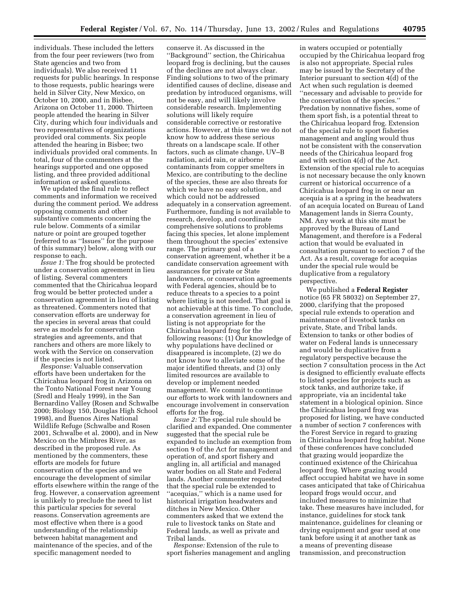individuals. These included the letters from the four peer reviewers (two from State agencies and two from individuals). We also received 11 requests for public hearings. In response to those requests, public hearings were held in Silver City, New Mexico, on October 10, 2000, and in Bisbee, Arizona on October 11, 2000. Thirteen people attended the hearing in Silver City, during which four individuals and two representatives of organizations provided oral comments. Six people attended the hearing in Bisbee; two individuals provided oral comments. In total, four of the commenters at the hearings supported and one opposed listing, and three provided additional information or asked questions.

We updated the final rule to reflect comments and information we received during the comment period. We address opposing comments and other substantive comments concerning the rule below. Comments of a similar nature or point are grouped together (referred to as ''Issues'' for the purpose of this summary) below, along with our response to each.

*Issue 1:* The frog should be protected under a conservation agreement in lieu of listing. Several commenters commented that the Chiricahua leopard frog would be better protected under a conservation agreement in lieu of listing as threatened. Commenters noted that conservation efforts are underway for the species in several areas that could serve as models for conservation strategies and agreements, and that ranchers and others are more likely to work with the Service on conservation if the species is not listed.

*Response:* Valuable conservation efforts have been undertaken for the Chiricahua leopard frog in Arizona on the Tonto National Forest near Young (Sredl and Healy 1999), in the San Bernardino Valley (Rosen and Schwalbe 2000; Biology 150, Douglas High School 1998), and Buenos Aires National Wildlife Refuge (Schwalbe and Rosen 2001, Schwalbe et al. 2000), and in New Mexico on the Mimbres River, as described in the proposed rule. As mentioned by the commenters, these efforts are models for future conservation of the species and we encourage the development of similar efforts elsewhere within the range of the frog. However, a conservation agreement is unlikely to preclude the need to list this particular species for several reasons. Conservation agreements are most effective when there is a good understanding of the relationship between habitat management and maintenance of the species, and of the specific management needed to

conserve it. As discussed in the ''Background'' section, the Chiricahua leopard frog is declining, but the causes of the declines are not always clear. Finding solutions to two of the primary identified causes of decline, disease and predation by introduced organisms, will not be easy, and will likely involve considerable research. Implementing solutions will likely require considerable corrective or restorative actions. However, at this time we do not know how to address these serious threats on a landscape scale. If other factors, such as climate change, UV–B radiation, acid rain, or airborne contaminants from copper smelters in Mexico, are contributing to the decline of the species, these are also threats for which we have no easy solution, and which could not be addressed adequately in a conservation agreement. Furthermore, funding is not available to research, develop, and coordinate comprehensive solutions to problems facing this species, let alone implement them throughout the species' extensive range. The primary goal of a conservation agreement, whether it be a candidate conservation agreement with assurances for private or State landowners, or conservation agreements with Federal agencies, should be to reduce threats to a species to a point where listing is not needed. That goal is not achievable at this time. To conclude, a conservation agreement in lieu of listing is not appropriate for the Chiricahua leopard frog for the following reasons: (1) Our knowledge of why populations have declined or disappeared is incomplete, (2) we do not know how to alleviate some of the major identified threats, and (3) only limited resources are available to develop or implement needed management. We commit to continue our efforts to work with landowners and encourage involvement in conservation efforts for the frog.

*Issue 2:* The special rule should be clarified and expanded. One commenter suggested that the special rule be expanded to include an exemption from section 9 of the Act for management and operation of, and sport fishery and angling in, all artificial and managed water bodies on all State and Federal lands. Another commenter requested that the special rule be extended to ''acequias,'' which is a name used for historical irrigation headwaters and ditches in New Mexico. Other commenters asked that we extend the rule to livestock tanks on State and Federal lands, as well as private and Tribal lands.

*Response:* Extension of the rule to sport fisheries management and angling in waters occupied or potentially occupied by the Chiricahua leopard frog is also not appropriate. Special rules may be issued by the Secretary of the Interior pursuant to section 4(d) of the Act when such regulation is deemed ''necessary and advisable to provide for the conservation of the species.'' Predation by nonnative fishes, some of them sport fish, is a potential threat to the Chiricahua leopard frog. Extension of the special rule to sport fisheries management and angling would thus not be consistent with the conservation needs of the Chiricahua leopard frog and with section 4(d) of the Act. Extension of the special rule to acequias is not necessary because the only known current or historical occurrence of a Chiricahua leopard frog in or near an acequia is at a spring in the headwaters of an acequia located on Bureau of Land Management lands in Sierra County, NM. Any work at this site must be approved by the Bureau of Land Management, and therefore is a Federal action that would be evaluated in consultation pursuant to section 7 of the Act. As a result, coverage for acequias under the special rule would be duplicative from a regulatory perspective.

We published a **Federal Register** notice (65 FR 58032) on September 27, 2000, clarifying that the proposed special rule extends to operation and maintenance of livestock tanks on private, State, and Tribal lands. Extension to tanks or other bodies of water on Federal lands is unnecessary and would be duplicative from a regulatory perspective because the section 7 consultation process in the Act is designed to efficiently evaluate effects to listed species for projects such as stock tanks, and authorize take, if appropriate, via an incidental take statement in a biological opinion. Since the Chiricahua leopard frog was proposed for listing, we have conducted a number of section 7 conferences with the Forest Service in regard to grazing in Chiricahua leopard frog habitat. None of these conferences have concluded that grazing would jeopardize the continued existence of the Chiricahua leopard frog. Where grazing would affect occupied habitat we have in some cases anticipated that take of Chiricahua leopard frogs would occur, and included measures to minimize that take. These measures have included, for instance, guidelines for stock tank maintenance, guidelines for cleaning or drying equipment and gear used at one tank before using it at another tank as a means of preventing disease transmission, and preconstruction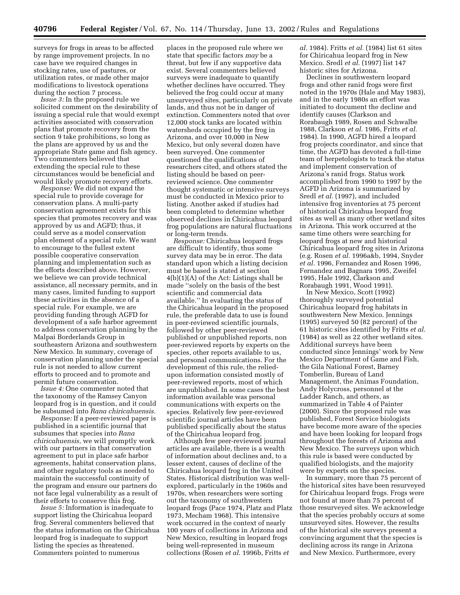surveys for frogs in areas to be affected by range improvement projects. In no case have we required changes in stocking rates, use of pastures, or utilization rates, or made other major modifications to livestock operations during the section 7 process.

*Issue 3:* In the proposed rule we solicited comment on the desirability of issuing a special rule that would exempt activities associated with conservation plans that promote recovery from the section 9 take prohibitions, so long as the plans are approved by us and the appropriate State game and fish agency. Two commenters believed that extending the special rule to these circumstances would be beneficial and would likely promote recovery efforts.

*Response:* We did not expand the special rule to provide coverage for conservation plans. A multi-party conservation agreement exists for this species that promotes recovery and was approved by us and AGFD; thus, it could serve as a model conservation plan element of a special rule. We want to encourage to the fullest extent possible cooperative conservation planning and implementation such as the efforts described above. However, we believe we can provide technical assistance, all necessary permits, and in many cases, limited funding to support these activities in the absence of a special rule. For example, we are providing funding through AGFD for development of a safe harbor agreement to address conservation planning by the Malpai Borderlands Group in southeastern Arizona and southwestern New Mexico. In summary, coverage of conservation planning under the special rule is not needed to allow current efforts to proceed and to promote and permit future conservation.

*Issue 4:* One commenter noted that the taxonomy of the Ramsey Canyon leopard frog is in question, and it could be subsumed into *Rana chiricahuensis.*

*Response:* If a peer-reviewed paper is published in a scientific journal that subsumes that species into *Rana chiricahuensis,* we will promptly work with our partners in that conservation agreement to put in place safe harbor agreements, habitat conservation plans, and other regulatory tools as needed to maintain the successful continuity of the program and ensure our partners do not face legal vulnerability as a result of their efforts to conserve this frog.

*Issue 5:* Information is inadequate to support listing the Chiricahua leopard frog. Several commenters believed that the status information on the Chiricahua leopard frog is inadequate to support listing the species as threatened. Commenters pointed to numerous

places in the proposed rule where we state that specific factors *may* be a threat, but few if any supportive data exist. Several commenters believed surveys were inadequate to quantify whether declines have occurred. They believed the frog could occur at many unsurveyed sites, particularly on private lands, and thus not be in danger of extinction. Commenters noted that over 12,000 stock tanks are located within watersheds occupied by the frog in Arizona, and over 10,000 in New Mexico, but only several dozen have been surveyed. One commenter questioned the qualifications of researchers cited, and others stated the listing should be based on peerreviewed science. One commenter thought systematic or intensive surveys must be conducted in Mexico prior to listing. Another asked if studies had been completed to determine whether observed declines in Chiricahua leopard frog populations are natural fluctuations or long-term trends.

*Response:* Chiricahua leopard frogs are difficult to identify, thus some survey data may be in error. The data standard upon which a listing decision must be based is stated at section 4(b)(1)(A) of the Act: Listings shall be made ''solely on the basis of the best scientific and commercial data available.'' In evaluating the status of the Chiricahua leopard in the proposed rule, the preferable data to use is found in peer-reviewed scientific journals, followed by other peer-reviewed published or unpublished reports, non peer-reviewed reports by experts on the species, other reports available to us, and personal communications. For the development of this rule, the reliedupon information consisted mostly of peer-reviewed reports, most of which are unpublished. In some cases the best information available was personal communications with experts on the species. Relatively few peer-reviewed scientific journal articles have been published specifically about the status of the Chiricahua leopard frog.

Although few peer-reviewed journal articles are available, there is a wealth of information about declines and, to a lesser extent, causes of decline of the Chiricahua leopard frog in the United States. Historical distribution was wellexplored, particularly in the 1960s and 1970s, when researchers were sorting out the taxonomy of southwestern leopard frogs (Pace 1974, Platz and Platz 1973, Mecham 1968). This intensive work occurred in the context of nearly 100 years of collections in Arizona and New Mexico, resulting in leopard frogs being well-represented in museum collections (Rosen *et al.* 1996b, Fritts *et* 

*al.* 1984). Fritts *et al.* (1984) list 61 sites for Chiricahua leopard frog in New Mexico. Sredl *et al.* (1997) list 147 historic sites for Arizona.

Declines in southwestern leopard frogs and other ranid frogs were first noted in the 1970s (Hale and May 1983), and in the early 1980s an effort was initiated to document the decline and identify causes (Clarkson and Rorabaugh 1989, Rosen and Schwalbe 1988, Clarkson *et al.* 1986, Fritts *et al.* 1984). In 1990, AGFD hired a leopard frog projects coordinator, and since that time, the AGFD has devoted a full-time team of herpetologists to track the status and implement conservation of Arizona's ranid frogs. Status work accomplished from 1990 to 1997 by the AGFD in Arizona is summarized by Sredl *et al.* (1997), and included intensive frog inventories at 75 percent of historical Chiricahua leopard frog sites as well as many other wetland sites in Arizona. This work occurred at the same time others were searching for leopard frogs at new and historical Chiricahua leopard frog sites in Arizona (e.g. Rosen *et al.* 1996a&b, 1994, Snyder *et al.* 1996, Fernandez and Rosen 1996, Fernandez and Bagnara 1995, Zweifel 1995, Hale 1992, Clarkson and Rorabaugh 1991, Wood 1991).

In New Mexico, Scott (1992) thoroughly surveyed potential Chiricahua leopard frog habitats in southwestern New Mexico. Jennings (1995) surveyed 50 (82 percent) of the 61 historic sites identified by Fritts *et al.* (1984) as well as 22 other wetland sites. Additional surveys have been conducted since Jennings' work by New Mexico Department of Game and Fish, the Gila National Forest, Barney Tomberlin, Bureau of Land Management, the Animas Foundation, Andy Holycross, personnel at the Ladder Ranch, and others, as summarized in Table 4 of Painter (2000). Since the proposed rule was published, Forest Service biologists have become more aware of the species and have been looking for leopard frogs throughout the forests of Arizona and New Mexico. The surveys upon which this rule is based were conducted by qualified biologists, and the majority were by experts on the species.

In summary, more than 75 percent of the historical sites have been resurveyed for Chiricahua leopard frogs. Frogs were not found at more than 75 percent of those resurveyed sites. We acknowledge that the species probably occurs at some unsurveyed sites. However, the results of the historical site surveys present a convincing argument that the species is declining across its range in Arizona and New Mexico. Furthermore, every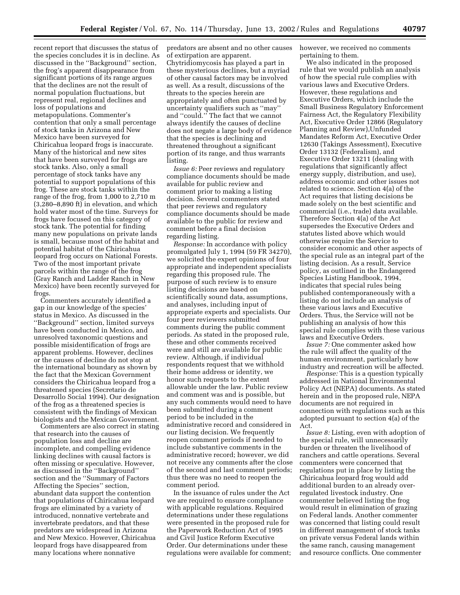recent report that discusses the status of the species concludes it is in decline. As discussed in the ''Background'' section, the frog's apparent disappearance from significant portions of its range argues that the declines are not the result of normal population fluctuations, but represent real, regional declines and loss of populations and metapopulations. Commenter's contention that only a small percentage of stock tanks in Arizona and New Mexico have been surveyed for Chiricahua leopard frogs is inaccurate. Many of the historical and new sites that have been surveyed for frogs are stock tanks. Also, only a small percentage of stock tanks have any potential to support populations of this frog. These are stock tanks within the range of the frog, from 1,000 to 2,710 m (3,280–8,890 ft) in elevation, and which hold water most of the time. Surveys for frogs have focused on this category of stock tank. The potential for finding many new populations on private lands is small, because most of the habitat and potential habitat of the Chiricahua leopard frog occurs on National Forests. Two of the most important private parcels within the range of the frog (Gray Ranch and Ladder Ranch in New Mexico) have been recently surveyed for frogs.

Commenters accurately identified a gap in our knowledge of the species' status in Mexico. As discussed in the ''Background'' section, limited surveys have been conducted in Mexico, and unresolved taxonomic questions and possible misidentification of frogs are apparent problems. However, declines or the causes of decline do not stop at the international boundary as shown by the fact that the Mexican Government considers the Chiricahua leopard frog a threatened species (Secretario de Desarrollo Social 1994). Our designation of the frog as a threatened species is consistent with the findings of Mexican biologists and the Mexican Government.

Commenters are also correct in stating that research into the causes of population loss and decline are incomplete, and compelling evidence linking declines with causal factors is often missing or speculative. However, as discussed in the ''Background'' section and the ''Summary of Factors Affecting the Species'' section, abundant data support the contention that populations of Chiricahua leopard frogs are eliminated by a variety of introduced, nonnative vertebrate and invertebrate predators, and that these predators are widespread in Arizona and New Mexico. However, Chiricahua leopard frogs have disappeared from many locations where nonnative

predators are absent and no other causes of extirpation are apparent. Chytridiomycosis has played a part in these mysterious declines, but a myriad of other causal factors may be involved as well. As a result, discussions of the threats to the species herein are appropriately and often punctuated by uncertainty qualifiers such as ''may'' and ''could.'' The fact that we cannot always identify the causes of decline does not negate a large body of evidence that the species is declining and threatened throughout a significant portion of its range, and thus warrants listing.

*Issue 6:* Peer reviews and regulatory compliance documents should be made available for public review and comment prior to making a listing decision. Several commenters stated that peer reviews and regulatory compliance documents should be made available to the public for review and comment before a final decision regarding listing.

*Response:* In accordance with policy promulgated July 1, 1994 (59 FR 34270), we solicited the expert opinions of four appropriate and independent specialists regarding this proposed rule. The purpose of such review is to ensure listing decisions are based on scientifically sound data, assumptions, and analyses, including input of appropriate experts and specialists. Our four peer reviewers submitted comments during the public comment periods. As stated in the proposed rule, these and other comments received were and still are available for public review. Although, if individual respondents request that we withhold their home address or identity, we honor such requests to the extent allowable under the law. Public review and comment was and is possible, but any such comments would need to have been submitted during a comment period to be included in the administrative record and considered in our listing decision. We frequently reopen comment periods if needed to include substantive comments in the administrative record; however, we did not receive any comments after the close of the second and last comment periods; thus there was no need to reopen the comment period.

In the issuance of rules under the Act we are required to ensure compliance with applicable regulations. Required determinations under these regulations were presented in the proposed rule for the Paperwork Reduction Act of 1995 and Civil Justice Reform Executive Order. Our determinations under these regulations were available for comment; however, we received no comments pertaining to them.

We also indicated in the proposed rule that we would publish an analysis of how the special rule complies with various laws and Executive Orders. However, these regulations and Executive Orders, which include the Small Business Regulatory Enforcement Fairness Act, the Regulatory Flexibility Act, Executive Order 12866 (Regulatory Planning and Review),Unfunded Mandates Reform Act, Executive Order 12630 (Takings Assessment), Executive Order 13132 (Federalism), and Executive Order 13211 (dealing with regulations that significantly affect energy supply, distribution, and use), address economic and other issues not related to science. Section 4(a) of the Act requires that listing decisions be made solely on the best scientific and commercial (i.e., trade) data available. Therefore Section 4(a) of the Act supersedes the Executive Orders and statutes listed above which would otherwise require the Service to consider economic and other aspects of the special rule as an integral part of the listing decision. As a result, Service policy, as outlined in the Endangered Species Listing Handbook, 1994, indicates that special rules being published contemporaneously with a listing do not include an analysis of these various laws and Executive Orders. Thus, the Service will not be publishing an analysis of how this special rule complies with these various laws and Executive Orders.

*Issue 7:* One commenter asked how the rule will affect the quality of the human environment, particularly how industry and recreation will be affected.

*Response:* This is a question typically addressed in National Environmental Policy Act (NEPA) documents. As stated herein and in the proposed rule, NEPA documents are not required in connection with regulations such as this adopted pursuant to section 4(a) of the Act.

*Issue 8:* Listing, even with adoption of the special rule, will unnecessarily burden or threaten the livelihood of ranchers and cattle operations. Several commenters were concerned that regulations put in place by listing the Chiricahua leopard frog would add additional burden to an already overregulated livestock industry. One commenter believed listing the frog would result in elimination of grazing on Federal lands. Another commenter was concerned that listing could result in different management of stock tanks on private versus Federal lands within the same ranch, causing management and resource conflicts. One commenter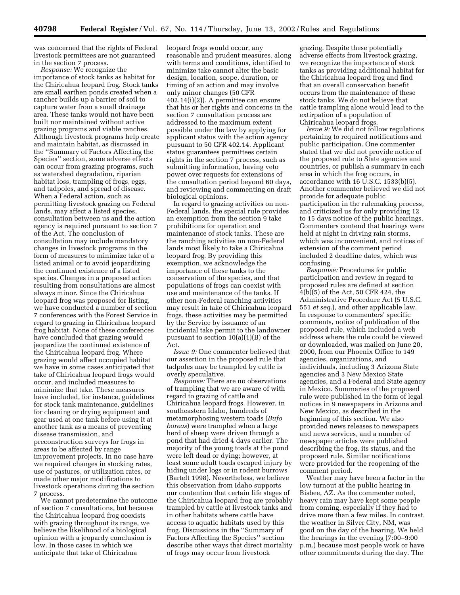was concerned that the rights of Federal livestock permittees are not guaranteed in the section 7 process.

*Response:* We recognize the importance of stock tanks as habitat for the Chiricahua leopard frog. Stock tanks are small earthen ponds created when a rancher builds up a barrier of soil to capture water from a small drainage area. These tanks would not have been built nor maintained without active grazing programs and viable ranches. Although livestock programs help create and maintain habitat, as discussed in the ''Summary of Factors Affecting the Species'' section, some adverse effects can occur from grazing programs, such as watershed degradation, riparian habitat loss, trampling of frogs, eggs, and tadpoles, and spread of disease. When a Federal action, such as permitting livestock grazing on Federal lands, may affect a listed species, consultation between us and the action agency is required pursuant to section 7 of the Act. The conclusion of consultation may include mandatory changes in livestock programs in the form of measures to minimize take of a listed animal or to avoid jeopardizing the continued existence of a listed species. Changes in a proposed action resulting from consultations are almost always minor. Since the Chiricahua leopard frog was proposed for listing, we have conducted a number of section 7 conferences with the Forest Service in regard to grazing in Chiricahua leopard frog habitat. None of these conferences have concluded that grazing would jeopardize the continued existence of the Chiricahua leopard frog. Where grazing would affect occupied habitat we have in some cases anticipated that take of Chiricahua leopard frogs would occur, and included measures to minimize that take. These measures have included, for instance, guidelines for stock tank maintenance, guidelines for cleaning or drying equipment and gear used at one tank before using it at another tank as a means of preventing disease transmission, and preconstruction surveys for frogs in areas to be affected by range improvement projects. In no case have we required changes in stocking rates, use of pastures, or utilization rates, or made other major modifications to livestock operations during the section 7 process.

We cannot predetermine the outcome of section 7 consultations, but because the Chiricahua leopard frog coexists with grazing throughout its range, we believe the likelihood of a biological opinion with a jeopardy conclusion is low. In those cases in which we anticipate that take of Chiricahua

leopard frogs would occur, any reasonable and prudent measures, along with terms and conditions, identified to minimize take cannot alter the basic design, location, scope, duration, or timing of an action and may involve only minor changes (50 CFR 402.14(i)(2)). A permittee can ensure that his or her rights and concerns in the section 7 consultation process are addressed to the maximum extent possible under the law by applying for applicant status with the action agency pursuant to 50 CFR 402.14. Applicant status guarantees permittees certain rights in the section 7 process, such as submitting information, having veto power over requests for extensions of the consultation period beyond 60 days, and reviewing and commenting on draft biological opinions.

In regard to grazing activities on non-Federal lands, the special rule provides an exemption from the section 9 take prohibitions for operation and maintenance of stock tanks. These are the ranching activities on non-Federal lands most likely to take a Chiricahua leopard frog. By providing this exemption, we acknowledge the importance of these tanks to the conservation of the species, and that populations of frogs can coexist with use and maintenance of the tanks. If other non-Federal ranching activities may result in take of Chiricahua leopard frogs, these activities may be permitted by the Service by issuance of an incidental take permit to the landowner pursuant to section 10(a)(1)(B) of the Act.

*Issue 9:* One commenter believed that our assertion in the proposed rule that tadpoles may be trampled by cattle is overly speculative.

*Response:* There are no observations of trampling that we are aware of with regard to grazing of cattle and Chiricahua leopard frogs. However, in southeastern Idaho, hundreds of metamorphosing western toads (*Bufo boreas*) were trampled when a large herd of sheep were driven through a pond that had dried 4 days earlier. The majority of the young toads at the pond were left dead or dying; however, at least some adult toads escaped injury by hiding under logs or in rodent burrows (Bartelt 1998). Nevertheless, we believe this observation from Idaho supports our contention that certain life stages of the Chiricahua leopard frog are probably trampled by cattle at livestock tanks and in other habitats where cattle have access to aquatic habitats used by this frog. Discussions in the ''Summary of Factors Affecting the Species'' section describe other ways that direct mortality of frogs may occur from livestock

grazing. Despite these potentially adverse effects from livestock grazing, we recognize the importance of stock tanks as providing additional habitat for the Chiricahua leopard frog and find that an overall conservation benefit occurs from the maintenance of these stock tanks. We do not believe that cattle trampling alone would lead to the extirpation of a population of Chiricahua leopard frogs.

*Issue 9:* We did not follow regulations pertaining to required notifications and public participation. One commenter stated that we did not provide notice of the proposed rule to State agencies and countries, or publish a summary in each area in which the frog occurs, in accordance with 16 U.S.C. 1533(b)(5). Another commenter believed we did not provide for adequate public participation in the rulemaking process, and criticized us for only providing 12 to 15 days notice of the public hearings. Commenters contend that hearings were held at night in driving rain storms, which was inconvenient, and notices of extension of the comment period included 2 deadline dates, which was confusing.

*Response:* Procedures for public participation and review in regard to proposed rules are defined at section 4(b)(5) of the Act, 50 CFR 424, the Administrative Procedure Act (5 U.S.C. 551 *et seq.*), and other applicable law. In response to commenters' specific comments, notice of publication of the proposed rule, which included a web address where the rule could be viewed or downloaded, was mailed on June 20, 2000, from our Phoenix Office to 149 agencies, organizations, and individuals, including 3 Arizona State agencies and 3 New Mexico State agencies, and a Federal and State agency in Mexico. Summaries of the proposed rule were published in the form of legal notices in 9 newspapers in Arizona and New Mexico, as described in the beginning of this section. We also provided news releases to newspapers and news services, and a number of newspaper articles were published describing the frog, its status, and the proposed rule. Similar notifications were provided for the reopening of the comment period.

Weather may have been a factor in the low turnout at the public hearing in Bisbee, AZ. As the commenter noted, heavy rain may have kept some people from coming, especially if they had to drive more than a few miles. In contrast, the weather in Silver City, NM, was good on the day of the hearing. We held the hearings in the evening (7:00–9:00 p.m.) because most people work or have other commitments during the day. The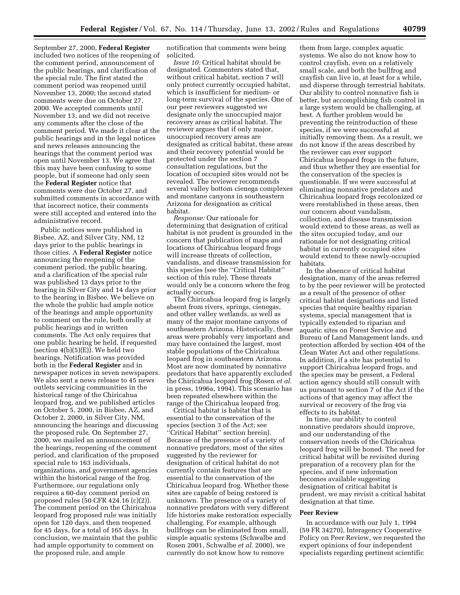September 27, 2000, **Federal Register** included two notices of the reopening of the comment period, announcement of the public hearings, and clarification of the special rule. The first stated the comment period was reopened until November 13, 2000; the second stated comments were due on October 27, 2000. We accepted comments until November 13, and we did not receive any comments after the close of the comment period. We made it clear at the public hearings and in the legal notices and news releases announcing the hearings that the comment period was open until November 13. We agree that this may have been confusing to some people, but if someone had only seen the **Federal Register** notice that comments were due October 27, and submitted comments in accordance with that incorrect notice, their comments were still accepted and entered into the administrative record.

Public notices were published in Bisbee, AZ, and Silver City, NM, 12 days prior to the public hearings in those cities. A **Federal Register** notice announcing the reopening of the comment period, the public hearing, and a clarification of the special rule was published 13 days prior to the hearing in Silver City and 14 days prior to the hearing in Bisbee. We believe on the whole the public had ample notice of the hearings and ample opportunity to comment on the rule, both orally at public hearings and in written comments. The Act only requires that one public hearing be held, if requested (section  $4(b)(5)(E)$ ). We held two hearings. Notification was provided both in the **Federal Register** and in newspaper notices in seven newspapers. We also sent a news release to 45 news outlets servicing communities in the historical range of the Chiricahua leopard frog, and we published articles on October 5, 2000, in Bisbee, AZ, and October 2, 2000, in Silver City, NM, announcing the hearings and discussing the proposed rule. On September 27, 2000, we mailed an announcement of the hearings, reopening of the comment period, and clarification of the proposed special rule to 163 individuals, organizations, and government agencies within the historical range of the frog. Furthermore, our regulations only requires a 60-day comment period on proposed rules (50 CFR 424.16 (c)(2)). The comment period on the Chiricahua leopard frog proposed rule was initially open for 120 days, and then reopened for 45 days, for a total of 165 days. In conclusion, we maintain that the public had ample opportunity to comment on the proposed rule, and ample

notification that comments were being solicited.

*Issue 10:* Critical habitat should be designated. Commenters stated that, without critical habitat, section 7 will only protect currently occupied habitat, which is insufficient for medium- or long-term survival of the species. One of our peer reviewers suggested we designate only the unoccupied major recovery areas as critical habitat. The reviewer argues that if only major, unoccupied recovery areas are designated as critical habitat, these areas and their recovery potential would be protected under the section 7 consultation regulations, but the location of occupied sites would not be revealed. The reviewer recommends several valley bottom cienega complexes and montane canyons in southeastern Arizona for designation as critical habitat.

*Response:* Our rationale for determining that designation of critical habitat is not prudent is grounded in the concern that publication of maps and locations of Chiricahua leopard frogs will increase threats of collection, vandalism, and disease transmission for this species (see the ''Critical Habitat'' section of this rule). These threats would only be a concern where the frog actually occurs.

The Chiricahua leopard frog is largely absent from rivers, springs, cienegas, and other valley wetlands, as well as many of the major montane canyons of southeastern Arizona. Historically, these areas were probably very important and may have contained the largest, most stable populations of the Chiricahua leopard frog in southeastern Arizona. Most are now dominated by nonnative predators that have apparently excluded the Chiricahua leopard frog (Rosen *et al.* in press, 1996a, 1994). This scenario has been repeated elsewhere within the range of the Chiricahua leopard frog.

Critical habitat is habitat that is essential to the conservation of the species (section 3 of the Act; see ''Critical Habitat'' section herein). Because of the presence of a variety of nonnative predators, most of the sites suggested by the reviewer for designation of critical habitat do not currently contain features that are essential to the conservation of the Chiricahua leopard frog. Whether these sites are capable of being restored is unknown. The presence of a variety of nonnative predators with very different life histories make restoration especially challenging. For example, although bullfrogs can be eliminated from small, simple aquatic systems (Schwalbe and Rosen 2001, Schwalbe *et al.* 2000), we currently do not know how to remove

them from large, complex aquatic systems. We also do not know how to control crayfish, even on a relatively small scale, and both the bullfrog and crayfish can live in, at least for a while, and disperse through terrestrial habitats. Our ability to control nonnative fish is better, but accomplishing fish control in a large system would be challenging, at best. A further problem would be preventing the reintroduction of these species, if we were successful at initially removing them. As a result, we do not know if the areas described by the reviewer can ever support Chiricahua leopard frogs in the future, and thus whether they are essential for the conservation of the species is questionable. If we were successful at eliminating nonnative predators and Chiricahua leopard frogs recolonized or were reestablished in these areas, then our concern about vandalism, collection, and disease transmission would extend to these areas, as well as the sites occupied today, and our rationale for not designating critical habitat in currently occupied sites would extend to these newly-occupied habitats.

In the absence of critical habitat designation, many of the areas referred to by the peer reviewer will be protected as a result of the presence of other critical habitat designations and listed species that require healthy riparian systems, special management that is typically extended to riparian and aquatic sites on Forest Service and Bureau of Land Management lands, and protection afforded by section 404 of the Clean Water Act and other regulations. In addition, if a site has potential to support Chiricahua leopard frogs, and the species may be present, a Federal action agency should still consult with us pursuant to section 7 of the Act if the actions of that agency may affect the survival or recovery of the frog via effects to its habitat.

In time, our ability to control nonnative predators should improve, and our understanding of the conservation needs of the Chiricahua leopard frog will be honed. The need for critical habitat will be revisited during preparation of a recovery plan for the species, and if new information becomes available suggesting designation of critical habitat is prudent, we may revisit a critical habitat designation at that time.

#### **Peer Review**

In accordance with our July 1, 1994 (59 FR 34270), Interagency Cooperative Policy on Peer Review, we requested the expert opinions of four independent specialists regarding pertinent scientific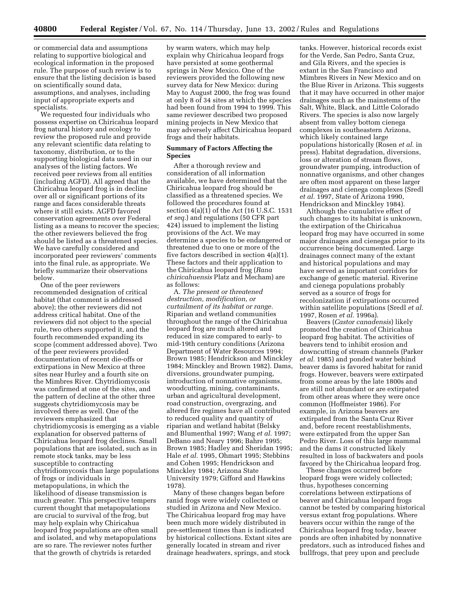or commercial data and assumptions relating to supportive biological and ecological information in the proposed rule. The purpose of such review is to ensure that the listing decision is based on scientifically sound data, assumptions, and analyses, including input of appropriate experts and specialists.

We requested four individuals who possess expertise on Chiricahua leopard frog natural history and ecology to review the proposed rule and provide any relevant scientific data relating to taxonomy, distribution, or to the supporting biological data used in our analyses of the listing factors. We received peer reviews from all entities (including AGFD). All agreed that the Chiricahua leopard frog is in decline over all or significant portions of its range and faces considerable threats where it still exists. AGFD favored conservation agreements over Federal listing as a means to recover the species; the other reviewers believed the frog should be listed as a threatened species. We have carefully considered and incorporated peer reviewers' comments into the final rule, as appropriate. We briefly summarize their observations below.

One of the peer reviewers recommended designation of critical habitat (that comment is addressed above); the other reviewers did not address critical habitat. One of the reviewers did not object to the special rule, two others supported it, and the fourth recommended expanding its scope (comment addressed above). Two of the peer reviewers provided documentation of recent die-offs or extirpations in New Mexico at three sites near Hurley and a fourth site on the Mimbres River. Chytridiomycosis was confirmed at one of the sites, and the pattern of decline at the other three suggests chytridiomycosis may be involved there as well. One of the reviewers emphasized that chytridiomycosis is emerging as a viable explanation for observed patterns of Chiricahua leopard frog declines. Small populations that are isolated, such as in remote stock tanks, may be less susceptible to contracting chytridiomycosis than large populations of frogs or individuals in metapopulations, in which the likelihood of disease transmission is much greater. This perspective tempers current thought that metapopulations are crucial to survival of the frog, but may help explain why Chiricahua leopard frog populations are often small and isolated, and why metapopulations are so rare. The reviewer notes further that the growth of chytrids is retarded

by warm waters, which may help explain why Chiricahua leopard frogs have persisted at some geothermal springs in New Mexico. One of the reviewers provided the following new survey data for New Mexico: during May to August 2000, the frog was found at only 8 of 34 sites at which the species had been found from 1994 to 1999. This same reviewer described two proposed mining projects in New Mexico that may adversely affect Chiricahua leopard frogs and their habitats.

#### **Summary of Factors Affecting the Species**

After a thorough review and consideration of all information available, we have determined that the Chiricahua leopard frog should be classified as a threatened species. We followed the procedures found at section  $4(a)(1)$  of the Act (16 U.S.C. 1531) *et seq.*) and regulations (50 CFR part 424) issued to implement the listing provisions of the Act. We may determine a species to be endangered or threatened due to one or more of the five factors described in section 4(a)(1). These factors and their application to the Chiricahua leopard frog (*Rana chiricahuensis* Platz and Mecham) are as follows:

A. *The present or threatened destruction, modification, or curtailment of its habitat or range.* Riparian and wetland communities throughout the range of the Chiricahua leopard frog are much altered and reduced in size compared to early- to mid-19th century conditions (Arizona Department of Water Resources 1994; Brown 1985; Hendrickson and Minckley 1984; Minckley and Brown 1982). Dams, diversions, groundwater pumping, introduction of nonnative organisms, woodcutting, mining, contaminants, urban and agricultural development, road construction, overgrazing, and altered fire regimes have all contributed to reduced quality and quantity of riparian and wetland habitat (Belsky and Blumenthal 1997; Wang *et al.* 1997; DeBano and Neary 1996; Bahre 1995; Brown 1985; Hadley and Sheridan 1995; Hale *et al.* 1995, Ohmart 1995; Stebbins and Cohen 1995; Hendrickson and Minckley 1984; Arizona State University 1979; Gifford and Hawkins 1978).

Many of these changes began before ranid frogs were widely collected or studied in Arizona and New Mexico. The Chiricahua leopard frog may have been much more widely distributed in pre-settlement times than is indicated by historical collections. Extant sites are generally located in stream and river drainage headwaters, springs, and stock

tanks. However, historical records exist for the Verde, San Pedro, Santa Cruz, and Gila Rivers, and the species is extant in the San Francisco and Mimbres Rivers in New Mexico and on the Blue River in Arizona. This suggests that it may have occurred in other major drainages such as the mainstems of the Salt, White, Black, and Little Colorado Rivers. The species is also now largely absent from valley bottom cienega complexes in southeastern Arizona, which likely contained large populations historically (Rosen *et al.* in press). Habitat degradation, diversions, loss or alteration of stream flows, groundwater pumping, introduction of nonnative organisms, and other changes are often most apparent on these larger drainages and cienega complexes (Sredl *et al.* 1997, State of Arizona 1990, Hendrickson and Minckley 1984).

Although the cumulative effect of such changes to its habitat is unknown, the extirpation of the Chiricahua leopard frog may have occurred in some major drainages and cienegas prior to its occurrence being documented. Large drainages connect many of the extant and historical populations and may have served as important corridors for exchange of genetic material. Riverine and cienega populations probably served as a source of frogs for recolonization if extirpations occurred within satellite populations (Sredl *et al.* 1997, Rosen *et al.* 1996a).

Beavers (*Castor canadensis*) likely promoted the creation of Chiricahua leopard frog habitat. The activities of beavers tend to inhibit erosion and downcutting of stream channels (Parker *et al.* 1985) and ponded water behind beaver dams is favored habitat for ranid frogs. However, beavers were extirpated from some areas by the late 1800s and are still not abundant or are extirpated from other areas where they were once common (Hoffmeister 1986). For example, in Arizona beavers are extirpated from the Santa Cruz River and, before recent reestablishments, were extirpated from the upper San Pedro River. Loss of this large mammal and the dams it constructed likely resulted in loss of backwaters and pools favored by the Chiricahua leopard frog.

These changes occurred before leopard frogs were widely collected; thus, hypotheses concerning correlations between extirpations of beaver and Chiricahua leopard frogs cannot be tested by comparing historical versus extant frog populations. Where beavers occur within the range of the Chiricahua leopard frog today, beaver ponds are often inhabited by nonnative predators, such as introduced fishes and bullfrogs, that prey upon and preclude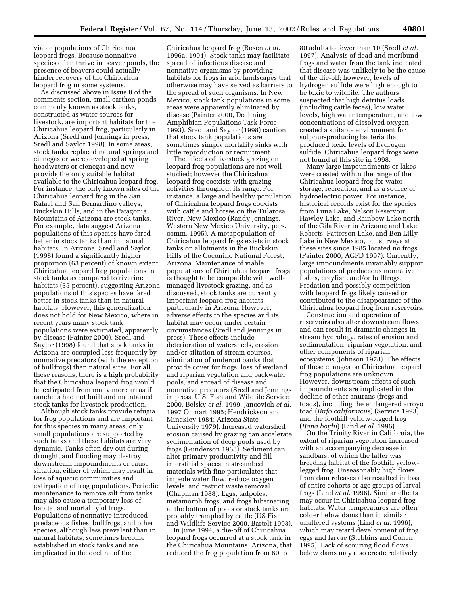viable populations of Chiricahua leopard frogs. Because nonnative species often thrive in beaver ponds, the presence of beavers could actually hinder recovery of the Chiricahua leopard frog in some systems.

As discussed above in Issue 8 of the comments section, small earthen ponds commonly known as stock tanks, constructed as water sources for livestock, are important habitats for the Chiricahua leopard frog, particularly in Arizona (Sredl and Jennings in press, Sredl and Saylor 1998). In some areas, stock tanks replaced natural springs and cienegas or were developed at spring headwaters or cienegas and now provide the only suitable habitat available to the Chiricahua leopard frog. For instance, the only known sites of the Chiricahua leopard frog in the San Rafael and San Bernardino valleys, Buckskin Hills, and in the Patagonia Mountains of Arizona are stock tanks. For example, data suggest Arizona populations of this species have fared better in stock tanks than in natural habitats. In Arizona, Sredl and Saylor (1998) found a significantly higher proportion (63 percent) of known extant Chiricahua leopard frog populations in stock tanks as compared to riverine habitats (35 percent), suggesting Arizona populations of this species have fared better in stock tanks than in natural habitats. However, this generalization does not hold for New Mexico, where in recent years many stock tank populations were extirpated, apparently by disease (Painter 2000). Sredl and Saylor (1998) found that stock tanks in Arizona are occupied less frequently by nonnative predators (with the exception of bullfrogs) than natural sites. For all these reasons, there is a high probability that the Chiricahua leopard frog would be extirpated from many more areas if ranchers had not built and maintained stock tanks for livestock production.

Although stock tanks provide refugia for frog populations and are important for this species in many areas, only small populations are supported by such tanks and these habitats are very dynamic. Tanks often dry out during drought, and flooding may destroy downstream impoundments or cause siltation, either of which may result in loss of aquatic communities and extirpation of frog populations. Periodic maintenance to remove silt from tanks may also cause a temporary loss of habitat and mortality of frogs. Populations of nonnative introduced predaceous fishes, bullfrogs, and other species, although less prevalent than in natural habitats, sometimes become established in stock tanks and are implicated in the decline of the

Chiricahua leopard frog (Rosen *et al.* 1996a, 1994). Stock tanks may facilitate spread of infectious disease and nonnative organisms by providing habitats for frogs in arid landscapes that otherwise may have served as barriers to the spread of such organisms. In New Mexico, stock tank populations in some areas were apparently eliminated by disease (Painter 2000, Declining Amphibian Populations Task Force 1993). Sredl and Saylor (1998) caution that stock tank populations are sometimes simply mortality sinks with little reproduction or recruitment.

The effects of livestock grazing on leopard frog populations are not wellstudied; however the Chiricahua leopard frog coexists with grazing activities throughout its range. For instance, a large and healthy population of Chiricahua leopard frogs coexists with cattle and horses on the Tularosa River, New Mexico (Randy Jennings, Western New Mexico University, pers. comm. 1995). A metapopulation of Chiricahua leopard frogs exists in stock tanks on allotments in the Buckskin Hills of the Coconino National Forest, Arizona. Maintenance of viable populations of Chiricahua leopard frogs is thought to be compatible with wellmanaged livestock grazing, and as discussed, stock tanks are currently important leopard frog habitats, particularly in Arizona. However, adverse effects to the species and its habitat may occur under certain circumstances (Sredl and Jennings in press). These effects include deterioration of watersheds, erosion and/or siltation of stream courses, elimination of undercut banks that provide cover for frogs, loss of wetland and riparian vegetation and backwater pools, and spread of disease and nonnative predators (Sredl and Jennings in press, U.S. Fish and Wildlife Service 2000, Belsky *et al.* 1999, Jancovich *et al.* 1997 Ohmart 1995; Hendrickson and Minckley 1984; Arizona State University 1979). Increased watershed erosion caused by grazing can accelerate sedimentation of deep pools used by frogs (Gunderson 1968). Sediment can alter primary productivity and fill interstitial spaces in streambed materials with fine particulates that impede water flow, reduce oxygen levels, and restrict waste removal (Chapman 1988). Eggs, tadpoles, metamorph frogs, and frogs hibernating at the bottom of pools or stock tanks are probably trampled by cattle (US Fish and Wildlife Service 2000, Bartelt 1998).

In June 1994, a die-off of Chiricahua leopard frogs occurred at a stock tank in the Chiricahua Mountains, Arizona, that reduced the frog population from 60 to

80 adults to fewer than 10 (Sredl *et al.* 1997). Analysis of dead and moribund frogs and water from the tank indicated that disease was unlikely to be the cause of the die-off; however, levels of hydrogen sulfide were high enough to be toxic to wildlife. The authors suspected that high detritus loads (including cattle feces), low water levels, high water temperature, and low concentrations of dissolved oxygen created a suitable environment for sulphur-producing bacteria that produced toxic levels of hydrogen sulfide. Chiricahua leopard frogs were not found at this site in 1998.

Many large impoundments or lakes were created within the range of the Chiricahua leopard frog for water storage, recreation, and as a source of hydroelectric power. For instance, historical records exist for the species from Luna Lake, Nelson Reservoir, Hawley Lake, and Rainbow Lake north of the Gila River in Arizona; and Lake Roberts, Patterson Lake, and Ben Lilly Lake in New Mexico, but surveys at these sites since 1985 located no frogs (Painter 2000, AGFD 1997). Currently, large impoundments invariably support populations of predaceous nonnative fishes, crayfish, and/or bullfrogs. Predation and possibly competition with leopard frogs likely caused or contributed to the disappearance of the Chiricahua leopard frog from reservoirs.

Construction and operation of reservoirs also alter downstream flows and can result in dramatic changes in stream hydrology, rates of erosion and sedimentation, riparian vegetation, and other components of riparian ecosystems (Johnson 1978). The effects of these changes on Chiricahua leopard frog populations are unknown. However, downstream effects of such impoundments are implicated in the decline of other anurans (frogs and toads), including the endangered arroyo toad (*Bufo californicus*) (Service 1993) and the foothill yellow-legged frog (*Rana boylii*) (Lind *et al.* 1996).

On the Trinity River in California, the extent of riparian vegetation increased with an accompanying decrease in sandbars, of which the latter was breeding habitat of the foothill yellowlegged frog. Unseasonably high flows from dam releases also resulted in loss of entire cohorts or age groups of larval frogs (Lind *et al.* 1996). Similar effects may occur in Chiricahua leopard frog habitats. Water temperatures are often colder below dams than in similar unaltered systems (Lind *et al.* 1996), which may retard development of frog eggs and larvae (Stebbins and Cohen 1995). Lack of scouring flood flows below dams may also create relatively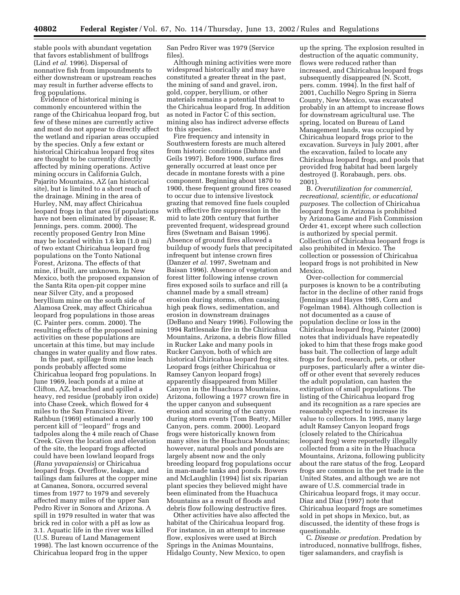stable pools with abundant vegetation that favors establishment of bullfrogs (Lind *et al.* 1996). Dispersal of nonnative fish from impoundments to either downstream or upstream reaches may result in further adverse effects to frog populations.

Evidence of historical mining is commonly encountered within the range of the Chiricahua leopard frog, but few of these mines are currently active and most do not appear to directly affect the wetland and riparian areas occupied by the species. Only a few extant or historical Chiricahua leopard frog sites are thought to be currently directly affected by mining operations. Active mining occurs in California Gulch, Pajarito Mountains, AZ (an historical site), but is limited to a short reach of the drainage. Mining in the area of Hurley, NM, may affect Chiricahua leopard frogs in that area (if populations have not been eliminated by disease; R. Jennings, pers. comm. 2000). The recently proposed Gentry Iron Mine may be located within 1.6 km (1.0 mi) of two extant Chiricahua leopard frog populations on the Tonto National Forest, Arizona. The effects of that mine, if built, are unknown. In New Mexico, both the proposed expansion of the Santa Rita open-pit copper mine near Silver City, and a proposed beryllium mine on the south side of Alamosa Creek, may affect Chiricahua leopard frog populations in those areas (C. Painter pers. comm. 2000). The resulting effects of the proposed mining activities on these populations are uncertain at this time, but may include changes in water quality and flow rates.

In the past, spillage from mine leach ponds probably affected some Chiricahua leopard frog populations. In June 1969, leach ponds at a mine at Clifton, AZ, breached and spilled a heavy, red residue (probably iron oxide) into Chase Creek, which flowed for 4 miles to the San Francisco River. Rathbun (1969) estimated a nearly 100 percent kill of ''leopard'' frogs and tadpoles along the 4 mile reach of Chase Creek. Given the location and elevation of the site, the leopard frogs affected could have been lowland leopard frogs (*Rana yavapaiensis*) or Chiricahua leopard frogs. Overflow, leakage, and tailings dam failures at the copper mine at Cananea, Sonora, occurred several times from 1977 to 1979 and severely affected many miles of the upper San Pedro River in Sonora and Arizona. A spill in 1979 resulted in water that was brick red in color with a pH as low as 3.1. Aquatic life in the river was killed (U.S. Bureau of Land Management 1998). The last known occurrence of the Chiricahua leopard frog in the upper

San Pedro River was 1979 (Service files).

Although mining activities were more widespread historically and may have constituted a greater threat in the past, the mining of sand and gravel, iron, gold, copper, beryllium, or other materials remains a potential threat to the Chiricahua leopard frog. In addition as noted in Factor C of this section, mining also has indirect adverse effects to this species.

Fire frequency and intensity in Southwestern forests are much altered from historic conditions (Dahms and Geils 1997). Before 1900, surface fires generally occurred at least once per decade in montane forests with a pine component. Beginning about 1870 to 1900, these frequent ground fires ceased to occur due to intensive livestock grazing that removed fine fuels coupled with effective fire suppression in the mid to late 20th century that further prevented frequent, widespread ground fires (Swetnam and Baisan 1996). Absence of ground fires allowed a buildup of woody fuels that precipitated infrequent but intense crown fires (Danzer *et al.* 1997, Swetnam and Baisan 1996). Absence of vegetation and forest litter following intense crown fires exposed soils to surface and rill (a channel made by a small stream) erosion during storms, often causing high peak flows, sedimentation, and erosion in downstream drainages (DeBano and Neary 1996). Following the 1994 Rattlesnake fire in the Chiricahua Mountains, Arizona, a debris flow filled in Rucker Lake and many pools in Rucker Canyon, both of which are historical Chiricahua leopard frog sites. Leopard frogs (either Chiricahua or Ramsey Canyon leopard frogs) apparently disappeared from Miller Canyon in the Huachuca Mountains, Arizona, following a 1977 crown fire in the upper canyon and subsequent erosion and scouring of the canyon during storm events (Tom Beatty, Miller Canyon, pers. comm. 2000). Leopard frogs were historically known from many sites in the Huachuca Mountains; however, natural pools and ponds are largely absent now and the only breeding leopard frog populations occur in man-made tanks and ponds. Bowers and McLaughlin (1994) list six riparian plant species they believed might have been eliminated from the Huachuca Mountains as a result of floods and debris flow following destructive fires.

Other activities have also affected the habitat of the Chiricahua leopard frog. For instance, in an attempt to increase flow, explosives were used at Birch Springs in the Animas Mountains, Hidalgo County, New Mexico, to open

up the spring. The explosion resulted in destruction of the aquatic community, flows were reduced rather than increased, and Chiricahua leopard frogs subsequently disappeared (N. Scott, pers. comm. 1994). In the first half of 2001, Cuchillo Negro Spring in Sierra County, New Mexico, was excavated probably in an attempt to increase flows for downstream agricultural use. The spring, located on Bureau of Land Management lands, was occupied by Chiricahua leopard frogs prior to the excavation. Surveys in July 2001, after the excavation, failed to locate any Chiricahua leopard frogs, and pools that provided frog habitat had been largely destroyed (J. Rorabaugh, pers. obs. 2001).

B. *Overutilization for commercial, recreational, scientific, or educational purposes.* The collection of Chiricahua leopard frogs in Arizona is prohibited by Arizona Game and Fish Commission Order 41, except where such collection is authorized by special permit. Collection of Chiricahua leopard frogs is also prohibited in Mexico. The collection or possession of Chiricahua leopard frogs is not prohibited in New Mexico.

Over-collection for commercial purposes is known to be a contributing factor in the decline of other ranid frogs (Jennings and Hayes 1985, Corn and Fogelman 1984). Although collection is not documented as a cause of population decline or loss in the Chiricahua leopard frog, Painter (2000) notes that individuals have repeatedly joked to him that these frogs make good bass bait. The collection of large adult frogs for food, research, pets, or other purposes, particularly after a winter dieoff or other event that severely reduces the adult population, can hasten the extirpation of small populations. The listing of the Chiricahua leopard frog and its recognition as a rare species are reasonably expected to increase its value to collectors. In 1995, many large adult Ramsey Canyon leopard frogs (closely related to the Chiricahua leopard frog) were reportedly illegally collected from a site in the Huachuca Mountains, Arizona, following publicity about the rare status of the frog. Leopard frogs are common in the pet trade in the United States, and although we are not aware of U.S. commercial trade in Chiricahua leopard frogs, it may occur. Diaz and Diaz (1997) note that Chiricahua leopard frogs are sometimes sold in pet shops in Mexico, but, as discussed, the identity of these frogs is questionable.

C. *Disease or predation.* Predation by introduced, nonnative bullfrogs, fishes, tiger salamanders, and crayfish is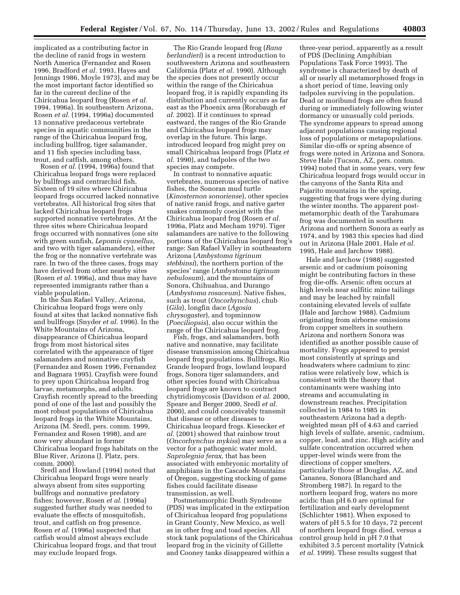implicated as a contributing factor in the decline of ranid frogs in western North America (Fernandez and Rosen 1996, Bradford *et al.* 1993, Hayes and Jennings 1986, Moyle 1973), and may be the most important factor identified so far in the current decline of the Chiricahua leopard frog (Rosen *et al.* 1994, 1996a). In southeastern Arizona, Rosen *et al.* (1994, 1996a) documented 13 nonnative predaceous vertebrate species in aquatic communities in the range of the Chiricahua leopard frog, including bullfrog, tiger salamander, and 11 fish species including bass, trout, and catfish, among others.

Rosen *et al.* (1994, 1996a) found that Chiricahua leopard frogs were replaced by bullfrogs and centrarchid fish. Sixteen of 19 sites where Chiricahua leopard frogs occurred lacked nonnative vertebrates. All historical frog sites that lacked Chiricahua leopard frogs supported nonnative vertebrates. At the three sites where Chiricahua leopard frogs occurred with nonnatives (one site with green sunfish, *Lepomis cyanellus,* and two with tiger salamanders), either the frog or the nonnative vertebrate was rare. In two of the three cases, frogs may have derived from other nearby sites (Rosen *et al.* 1996a), and thus may have represented immigrants rather than a viable population.

In the San Rafael Valley, Arizona, Chiricahua leopard frogs were only found at sites that lacked nonnative fish and bullfrogs (Snyder *et al.* 1996). In the White Mountains of Arizona, disappearance of Chiricahua leopard frogs from most historical sites correlated with the appearance of tiger salamanders and nonnative crayfish (Fernandez and Rosen 1996, Fernandez and Bagnara 1995). Crayfish were found to prey upon Chiricahua leopard frog larvae, metamorphs, and adults. Crayfish recently spread to the breeding pond of one of the last and possibly the most robust populations of Chiricahua leopard frogs in the White Mountains, Arizona (M. Sredl, pers. comm. 1999, Fernandez and Rosen 1998), and are now very abundant in former Chiricahua leopard frogs habitats on the Blue River, Arizona (J. Platz, pers. comm. 2000).

Sredl and Howland (1994) noted that Chiricahua leopard frogs were nearly always absent from sites supporting bullfrogs and nonnative predatory fishes; however, Rosen *et al.* (1996a) suggested further study was needed to evaluate the effects of mosquitofish, trout, and catfish on frog presence. Rosen *et al.* (1996a) suspected that catfish would almost always exclude Chiricahua leopard frogs, and that trout may exclude leopard frogs.

The Rio Grande leopard frog (*Rana berlandieri*) is a recent introduction to southwestern Arizona and southeastern California (Platz *et al.* 1990). Although the species does not presently occur within the range of the Chiricahua leopard frog, it is rapidly expanding its distribution and currently occurs as far east as the Phoenix area (Rorabaugh *et al.* 2002). If it continues to spread eastward, the ranges of the Rio Grande and Chiricahua leopard frogs may overlap in the future. This large, introduced leopard frog might prey on small Chiricahua leopard frogs (Platz *et al.* 1990), and tadpoles of the two species may compete.

In contrast to nonnative aquatic vertebrates, numerous species of native fishes, the Sonoran mud turtle (*Kinosternon sonoriense*), other species of native ranid frogs, and native garter snakes commonly coexist with the Chiricahua leopard frog (Rosen *et al.* 1996a, Platz and Mecham 1979). Tiger salamanders are native to the following portions of the Chiricahua leopard frog's range: San Rafael Valley in southeastern Arizona (*Ambystoma tigrinum stebbinsi*), the northern portion of the species' range (*Ambystoma tigrinum nebulosum*), and the mountains of Sonora, Chihuahua, and Durango (*Ambystoma rosaceum*). Native fishes, such as trout (*Oncorhynchus*), chub (*Gila*), longfin dace (*Agosia chrysogaster*), and topminnow (*Poeciliopsis*), also occur within the range of the Chiricahua leopard frog.

Fish, frogs, and salamanders, both native and nonnative, may facilitate disease transmission among Chiricahua leopard frog populations. Bullfrogs, Rio Grande leopard frogs, lowland leopard frogs, Sonora tiger salamanders, and other species found with Chiricahua leopard frogs are known to contract chytridiomycosis (Davidson *et al.* 2000, Speare and Berger 2000, Sredl *et al.* 2000), and could conceivably transmit that disease or other diseases to Chiricahua leopard frogs. Kiesecker *et al.* (2001) showed that rainbow trout (*Oncorhynchus mykiss*) may serve as a vector for a pathogenic water mold, *Saprolegnia ferax,* that has been associated with embryonic mortality of amphibians in the Cascade Mountains of Oregon, suggesting stocking of game fishes could facilitate disease transmission, as well.

Postmetamorphic Death Syndrome (PDS) was implicated in the extirpation of Chiricahua leopard frog populations in Grant County, New Mexico, as well as in other frog and toad species. All stock tank populations of the Chiricahua leopard frog in the vicinity of Gillette and Cooney tanks disappeared within a

three-year period, apparently as a result of PDS (Declining Amphibian Populations Task Force 1993). The syndrome is characterized by death of all or nearly all metamorphosed frogs in a short period of time, leaving only tadpoles surviving in the population. Dead or moribund frogs are often found during or immediately following winter dormancy or unusually cold periods. The syndrome appears to spread among adjacent populations causing regional loss of populations or metapopulations. Similar die-offs or spring absence of frogs were noted in Arizona and Sonora. Steve Hale (Tucson, AZ, pers. comm. 1994) noted that in some years, very few Chiricahua leopard frogs would occur in the canyons of the Santa Rita and Pajarito mountains in the spring, suggesting that frogs were dying during the winter months. The apparent postmetamorphic death of the Tarahumara frog was documented in southern Arizona and northern Sonora as early as 1974, and by 1983 this species had died out in Arizona (Hale 2001, Hale *et al.* 1995, Hale and Jarchow 1988).

Hale and Jarchow (1988) suggested arsenic and or cadmium poisoning might be contributing factors in these frog die-offs. Arsenic often occurs at high levels near sulfitic mine tailings and may be leached by rainfall containing elevated levels of sulfate (Hale and Jarchow 1988). Cadmium originating from airborne emissions from copper smelters in southern Arizona and northern Sonora was identified as another possible cause of mortality. Frogs appeared to persist most consistently at springs and headwaters where cadmium to zinc ratios were relatively low, which is consistent with the theory that contaminants were washing into streams and accumulating in downstream reaches. Precipitation collected in 1984 to 1985 in southeastern Arizona had a depthweighted mean pH of 4.63 and carried high levels of sulfate, arsenic, cadmium, copper, lead, and zinc. High acidity and sulfate concentration occurred when upper-level winds were from the directions of copper smelters, particularly those at Douglas, AZ, and Cananea, Sonora (Blanchard and Stromberg 1987). In regard to the northern leopard frog, waters no more acidic than pH 6.0 are optimal for fertilization and early development (Schlichter 1981). When exposed to waters of pH 5.5 for 10 days, 72 percent of northern leopard frogs died, versus a control group held in pH 7.0 that exhibited 3.5 percent mortality (Vatnick *et al.* 1999). These results suggest that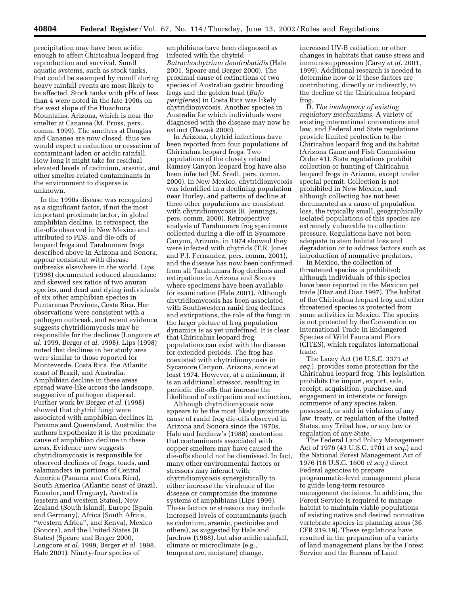precipitation may have been acidic enough to affect Chiricahua leopard frog reproduction and survival. Small aquatic systems, such as stock tanks, that could be swamped by runoff during heavy rainfall events are most likely to be affected. Stock tanks with pHs of less than 4 were noted in the late 1990s on the west slope of the Huachuca Mountains, Arizona, which is near the smelter at Cananea (M. Pruss, pers. comm. 1999). The smelters at Douglas and Cananea are now closed, thus we would expect a reduction or cessation of contaminant laden or acidic rainfall. How long it might take for residual elevated levels of cadmium, arsenic, and other smelter-related contaminants in the environment to disperse is unknown.

In the 1990s disease was recognized as a significant factor, if not the most important proximate factor, in global amphibian decline. In retrospect, the die-offs observed in New Mexico and attributed to PDS, and die-offs of leopard frogs and Tarahumara frogs described above in Arizona and Sonora, appear consistent with disease outbreaks elsewhere in the world. Lips (1998) documented reduced abundance and skewed sex ratios of two anuran species, and dead and dying individuals of six other amphibian species in Puntarenas Province, Costa Rica. Her observations were consistent with a pathogen outbreak, and recent evidence suggests chytridiomycosis may be responsible for the declines (Longcore *et al.* 1999, Berger *et al.* 1998). Lips (1998) noted that declines in her study area were similar to those reported for Monteverde, Costa Rica, the Atlantic coast of Brazil, and Australia. Amphibian decline in these areas spread wave-like across the landscape, suggestive of pathogen dispersal. Further work by Berger *et al.* (1998) showed that chytrid fungi were associated with amphibian declines in Panama and Queensland, Australia; the authors hypothesize it is the proximate cause of amphibian decline in these areas. Evidence now suggests chytridiomycosis is responsible for observed declines of frogs, toads, and salamanders in portions of Central America (Panama and Costa Rica), South America (Atlantic coast of Brazil, Ecuador, and Uruguay), Australia (eastern and western States), New Zealand (South Island), Europe (Spain and Germany), Africa (South Africa, ''western Africa'', and Kenya), Mexico (Sonora), and the United States (8 States) (Speare and Berger 2000, Longcore *et al.* 1999, Berger *et al.* 1998, Hale 2001). Ninety-four species of

amphibians have been diagnosed as infected with the chytrid *Batrachochytrium dendrobatidis* (Hale 2001, Speare and Berger 2000). The proximal cause of extinctions of two species of Australian gastric brooding frogs and the golden toad (*Bufo periglenes*) in Costa Rica was likely chytridiomycosis. Another species in Australia for which individuals were diagnosed with the disease may now be extinct (Daszak 2000).

In Arizona, chytrid infections have been reported from four populations of Chiricahua leopard frogs. Two populations of the closely related Ramsey Canyon leopard frog have also been infected (M. Sredl, pers. comm. 2000). In New Mexico, chytridiomycosis was identified in a declining population near Hurley, and patterns of decline at three other populations are consistent with chytridiomycosis (R. Jennings, pers. comm. 2000). Retrospective analysis of Tarahumara frog specimens collected during a die-off in Sycamore Canyon, Arizona, in 1974 showed they were infected with chytrids (T.R. Jones and P.J. Fernandez, pers. comm. 2001), and the disease has now been confirmed from all Tarahumara frog declines and extirpations in Arizona and Sonora where specimens have been available for examination (Hale 2001). Although chytridiomycosis has been associated with Southwestern ranid frog declines and extirpations, the role of the fungi in the larger picture of frog population dynamics is as yet undefined. It is clear that Chiricahua leopard frog populations can exist with the disease for extended periods. The frog has coexisted with chytridiomycosis in Sycamore Canyon, Arizona, since at least 1974. However, at a minimum, it is an additional stressor, resulting in periodic die-offs that increase the likelihood of extirpation and extinction.

Although chytridiomycosis now appears to be the most likely proximate cause of ranid frog die-offs observed in Arizona and Sonora since the 1970s, Hale and Jarchow's (1988) contention that contaminants associated with copper smelters may have caused the die-offs should not be dismissed. In fact, many other environmental factors or stressors may interact with chytridiomycosis synergistically to either increase the virulence of the disease or compromise the immune systems of amphibians (Lips 1999). These factors or stressors may include increased levels of contaminants (such as cadmium, arsenic, pesticides and others), as suggested by Hale and Jarchow (1988), but also acidic rainfall, climate or microclimate (e.g., temperature, moisture) change,

increased UV-B radiation, or other changes in habitats that cause stress and immunosuppression (Carey *et al.* 2001, 1999). Additional research is needed to determine how or if these factors are contributing, directly or indirectly, to the decline of the Chiricahua leopard frog.

D. *The inadequacy of existing regulatory mechanisms*. A variety of existing international conventions and law, and Federal and State regulations provide limited protection to the Chiricahua leopard frog and its habitat (Arizona Game and Fish Commission Order 41). State regulations prohibit collection or hunting of Chiricahua leopard frogs in Arizona, except under special permit. Collection is not prohibited in New Mexico, and although collecting has not been documented as a cause of population loss, the typically small, geographically isolated populations of this species are extremely vulnerable to collection pressure. Regulations have not been adequate to stem habitat loss and degradation or to address factors such as introduction of nonnative predators.

In Mexico, the collection of threatened species is prohibited; although individuals of this species have been reported in the Mexican pet trade (Diaz and Diaz 1997). The habitat of the Chiricahua leopard frog and other threatened species is protected from some activities in Mexico. The species is not protected by the Convention on International Trade in Endangered Species of Wild Fauna and Flora (CITES), which regulates international trade.

The Lacey Act (16 U.S.C. 3371 *et seq.*), provides some protection for the Chiricahua leopard frog. This legislation prohibits the import, export, sale, receipt, acquisition, purchase, and engagement in interstate or foreign commerce of any species taken, possessed, or sold in violation of any law, treaty, or regulation of the United States, any Tribal law, or any law or regulation of any State.

The Federal Land Policy Management Act of 1976 (43 U.S.C. 1701 *et seq.*) and the National Forest Management Act of 1976 (16 U.S.C. 1600 *et seq.*) direct Federal agencies to prepare programmatic-level management plans to guide long-term resource management decisions. In addition, the Forest Service is required to manage habitat to maintain viable populations of existing native and desired nonnative vertebrate species in planning areas (36 CFR 219.19). These regulations have resulted in the preparation of a variety of land management plans by the Forest Service and the Bureau of Land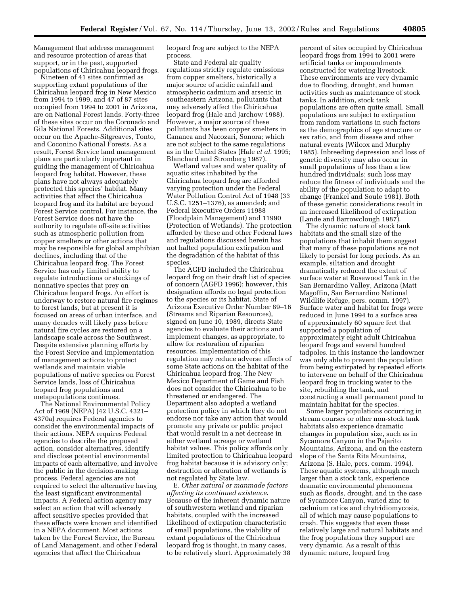Management that address management and resource protection of areas that support, or in the past, supported populations of Chiricahua leopard frogs.

Nineteen of 41 sites confirmed as supporting extant populations of the Chiricahua leopard frog in New Mexico from 1994 to 1999, and 47 of 87 sites occupied from 1994 to 2001 in Arizona, are on National Forest lands. Forty-three of these sites occur on the Coronado and Gila National Forests. Additional sites occur on the Apache-Sitgreaves, Tonto, and Coconino National Forests. As a result, Forest Service land management plans are particularly important in guiding the management of Chiricahua leopard frog habitat. However, these plans have not always adequately protected this species' habitat. Many activities that affect the Chiricahua leopard frog and its habitat are beyond Forest Service control. For instance, the Forest Service does not have the authority to regulate off-site activities such as atmospheric pollution from copper smelters or other actions that may be responsible for global amphibian declines, including that of the Chiricahua leopard frog. The Forest Service has only limited ability to regulate introductions or stockings of nonnative species that prey on Chiricahua leopard frogs. An effort is underway to restore natural fire regimes to forest lands, but at present it is focused on areas of urban interface, and many decades will likely pass before natural fire cycles are restored on a landscape scale across the Southwest. Despite extensive planning efforts by the Forest Service and implementation of management actions to protect wetlands and maintain viable populations of native species on Forest Service lands, loss of Chiricahua leopard frog populations and metapopulations continues.

The National Environmental Policy Act of 1969 (NEPA) (42 U.S.C. 4321– 4370a) requires Federal agencies to consider the environmental impacts of their actions. NEPA requires Federal agencies to describe the proposed action, consider alternatives, identify and disclose potential environmental impacts of each alternative, and involve the public in the decision-making process. Federal agencies are not required to select the alternative having the least significant environmental impacts. A Federal action agency may select an action that will adversely affect sensitive species provided that these effects were known and identified in a NEPA document. Most actions taken by the Forest Service, the Bureau of Land Management, and other Federal agencies that affect the Chiricahua

leopard frog are subject to the NEPA process.

State and Federal air quality regulations strictly regulate emissions from copper smelters, historically a major source of acidic rainfall and atmospheric cadmium and arsenic in southeastern Arizona, pollutants that may adversely affect the Chiricahua leopard frog (Hale and Jarchow 1988). However, a major source of these pollutants has been copper smelters in Cananea and Nacozari, Sonora; which are not subject to the same regulations as in the United States (Hale *et al.* 1995; Blanchard and Stromberg 1987).

Wetland values and water quality of aquatic sites inhabited by the Chiricahua leopard frog are afforded varying protection under the Federal Water Pollution Control Act of 1948 (33 U.S.C. 1251–1376), as amended; and Federal Executive Orders 11988 (Floodplain Management) and 11990 (Protection of Wetlands). The protection afforded by these and other Federal laws and regulations discussed herein has not halted population extirpation and the degradation of the habitat of this species.

The AGFD included the Chiricahua leopard frog on their draft list of species of concern (AGFD 1996); however, this designation affords no legal protection to the species or its habitat. State of Arizona Executive Order Number 89–16 (Streams and Riparian Resources), signed on June 10, 1989, directs State agencies to evaluate their actions and implement changes, as appropriate, to allow for restoration of riparian resources. Implementation of this regulation may reduce adverse effects of some State actions on the habitat of the Chiricahua leopard frog. The New Mexico Department of Game and Fish does not consider the Chiricahua to be threatened or endangered. The Department also adopted a wetland protection policy in which they do not endorse nor take any action that would promote any private or public project that would result in a net decrease in either wetland acreage or wetland habitat values. This policy affords only limited protection to Chiricahua leopard frog habitat because it is advisory only; destruction or alteration of wetlands is not regulated by State law.

E. *Other natural or manmade factors affecting its continued existence*. Because of the inherent dynamic nature of southwestern wetland and riparian habitats, coupled with the increased likelihood of extirpation characteristic of small populations, the viability of extant populations of the Chiricahua leopard frog is thought, in many cases, to be relatively short. Approximately 38

percent of sites occupied by Chiricahua leopard frogs from 1994 to 2001 were artificial tanks or impoundments constructed for watering livestock. These environments are very dynamic due to flooding, drought, and human activities such as maintenance of stock tanks. In addition, stock tank populations are often quite small. Small populations are subject to extirpation from random variations in such factors as the demographics of age structure or sex ratio, and from disease and other natural events (Wilcox and Murphy 1985). Inbreeding depression and loss of genetic diversity may also occur in small populations of less than a few hundred individuals; such loss may reduce the fitness of individuals and the ability of the population to adapt to change (Frankel and Soule 1981). Both of these genetic considerations result in an increased likelihood of extirpation (Lande and Barrowclough 1987).

The dynamic nature of stock tank habitats and the small size of the populations that inhabit them suggest that many of these populations are not likely to persist for long periods. As an example, siltation and drought dramatically reduced the extent of surface water at Rosewood Tank in the San Bernardino Valley, Arizona (Matt Magoffin, San Bernardino National Wildlife Refuge, pers. comm. 1997). Surface water and habitat for frogs were reduced in June 1994 to a surface area of approximately 60 square feet that supported a population of approximately eight adult Chiricahua leopard frogs and several hundred tadpoles. In this instance the landowner was only able to prevent the population from being extirpated by repeated efforts to intervene on behalf of the Chiricahua leopard frog in trucking water to the site, rebuilding the tank, and constructing a small permanent pond to maintain habitat for the species.

Some larger populations occurring in stream courses or other non-stock tank habitats also experience dramatic changes in population size, such as in Sycamore Canyon in the Pajarito Mountains, Arizona, and on the eastern slope of the Santa Rita Mountains, Arizona (S. Hale, pers. comm. 1994). These aquatic systems, although much larger than a stock tank, experience dramatic environmental phenomena such as floods, drought, and in the case of Sycamore Canyon, varied zinc to cadmium ratios and chytridiomycosis, all of which may cause populations to crash. This suggests that even these relatively large and natural habitats and the frog populations they support are very dynamic. As a result of this dynamic nature, leopard frog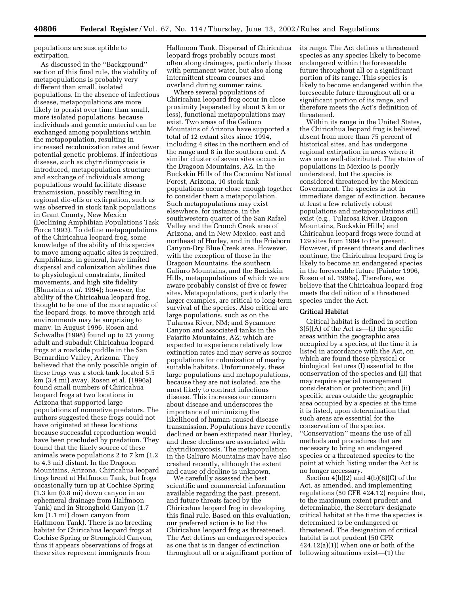populations are susceptible to extirpation.

As discussed in the ''Background'' section of this final rule, the viability of metapopulations is probably very different than small, isolated populations. In the absence of infectious disease, metapopulations are more likely to persist over time than small, more isolated populations, because individuals and genetic material can be exchanged among populations within the metapopulation, resulting in increased recolonization rates and fewer potential genetic problems. If infectious disease, such as chytridiomycosis is introduced, metapopulation structure and exchange of individuals among populations would facilitate disease transmission, possibly resulting in regional die-offs or extirpation, such as was observed in stock tank populations in Grant County, New Mexico (Declining Amphibian Populations Task Force 1993). To define metapopulations of the Chiricahua leopard frog, some knowledge of the ability of this species to move among aquatic sites is required. Amphibians, in general, have limited dispersal and colonization abilities due to physiological constraints, limited movements, and high site fidelity (Blaustein *et al.* 1994); however, the ability of the Chiricahua leopard frog, thought to be one of the more aquatic of the leopard frogs, to move through arid environments may be surprising to many. In August 1996, Rosen and Schwalbe (1998) found up to 25 young adult and subadult Chiricahua leopard frogs at a roadside puddle in the San Bernardino Valley, Arizona. They believed that the only possible origin of these frogs was a stock tank located 5.5 km (3.4 mi) away. Rosen et al. (1996a) found small numbers of Chiricahua leopard frogs at two locations in Arizona that supported large populations of nonnative predators. The authors suggested these frogs could not have originated at these locations because successful reproduction would have been precluded by predation. They found that the likely source of these animals were populations 2 to 7 km (1.2 to 4.3 mi) distant. In the Dragoon Mountains, Arizona, Chiricahua leopard frogs breed at Halfmoon Tank, but frogs occasionally turn up at Cochise Spring (1.3 km (0.8 mi) down canyon in an ephemeral drainage from Halfmoon Tank) and in Stronghold Canyon (1.7 km (1.1 mi) down canyon from Halfmoon Tank). There is no breeding habitat for Chiricahua leopard frogs at Cochise Spring or Stronghold Canyon, thus it appears observations of frogs at these sites represent immigrants from

Halfmoon Tank. Dispersal of Chiricahua leopard frogs probably occurs most often along drainages, particularly those with permanent water, but also along intermittent stream courses and overland during summer rains.

Where several populations of Chiricahua leopard frog occur in close proximity (separated by about 5 km or less), functional metapopulations may exist. Two areas of the Galiuro Mountains of Arizona have supported a total of 12 extant sites since 1994, including 4 sites in the northern end of the range and 8 in the southern end. A similar cluster of seven sites occurs in the Dragoon Mountains, AZ. In the Buckskin Hills of the Coconino National Forest, Arizona, 10 stock tank populations occur close enough together to consider them a metapopulation. Such metapopulations may exist elsewhere, for instance, in the southwestern quarter of the San Rafael Valley and the Crouch Creek area of Arizona, and in New Mexico, east and northeast of Hurley, and in the Frieborn Canyon-Dry Blue Creek area. However, with the exception of those in the Dragoon Mountains, the southern Galiuro Mountains, and the Buckskin Hills, metapopulations of which we are aware probably consist of five or fewer sites. Metapopulations, particularly the larger examples, are critical to long-term survival of the species. Also critical are large populations, such as on the Tularosa River, NM; and Sycamore Canyon and associated tanks in the Pajarito Mountains, AZ; which are expected to experience relatively low extinction rates and may serve as source populations for colonization of nearby suitable habitats. Unfortunately, these large populations and metapopulations, because they are not isolated, are the most likely to contract infectious disease. This increases our concern about disease and underscores the importance of minimizing the likelihood of human-caused disease transmission. Populations have recently declined or been extirpated near Hurley, and these declines are associated with chytridiomycosis. The metapopulation in the Galiuro Mountains may have also crashed recently, although the extent and cause of decline is unknown.

We carefully assessed the best scientific and commercial information available regarding the past, present, and future threats faced by the Chiricahua leopard frog in developing this final rule. Based on this evaluation, our preferred action is to list the Chiricahua leopard frog as threatened. The Act defines an endangered species as one that is in danger of extinction throughout all or a significant portion of its range. The Act defines a threatened species as any species likely to become endangered within the foreseeable future throughout all or a significant portion of its range. This species is likely to become endangered within the foreseeable future throughout all or a significant portion of its range, and therefore meets the Act's definition of threatened.

Within its range in the United States, the Chiricahua leopard frog is believed absent from more than 75 percent of historical sites, and has undergone regional extirpation in areas where it was once well-distributed. The status of populations in Mexico is poorly understood, but the species is considered threatened by the Mexican Government. The species is not in immediate danger of extinction, because at least a few relatively robust populations and metapopulations still exist (e.g., Tularosa River, Dragoon Mountains, Buckskin Hills) and Chiricahua leopard frogs were found at 129 sites from 1994 to the present. However, if present threats and declines continue, the Chiricahua leopard frog is likely to become an endangered species in the foreseeable future (Painter 1996, Rosen et al. 1996a). Therefore, we believe that the Chiricahua leopard frog meets the definition of a threatened species under the Act.

#### **Critical Habitat**

Critical habitat is defined in section 3(5)(A) of the Act as—(i) the specific areas within the geographic area occupied by a species, at the time it is listed in accordance with the Act, on which are found those physical or biological features (I) essential to the conservation of the species and (II) that may require special management consideration or protection; and (ii) specific areas outside the geographic area occupied by a species at the time it is listed, upon determination that such areas are essential for the conservation of the species. ''Conservation'' means the use of all methods and procedures that are necessary to bring an endangered species or a threatened species to the point at which listing under the Act is no longer necessary.

Section  $4(b)(2)$  and  $4(b)(6)(C)$  of the Act, as amended, and implementing regulations (50 CFR 424.12) require that, to the maximum extent prudent and determinable, the Secretary designate critical habitat at the time the species is determined to be endangered or threatened. The designation of critical habitat is not prudent (50 CFR  $424.12(a)(1)$ ) when one or both of the following situations exist—(1) the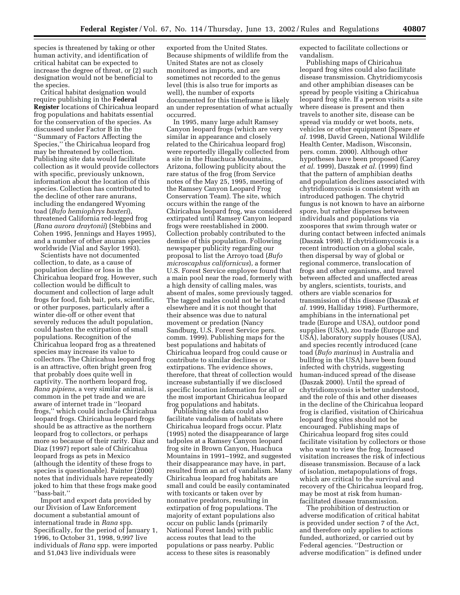species is threatened by taking or other human activity, and identification of critical habitat can be expected to increase the degree of threat, or (2) such designation would not be beneficial to the species.

Critical habitat designation would require publishing in the **Federal Register** locations of Chiricahua leopard frog populations and habitats essential for the conservation of the species. As discussed under Factor B in the ''Summary of Factors Affecting the Species,'' the Chiricahua leopard frog may be threatened by collection. Publishing site data would facilitate collection as it would provide collectors with specific, previously unknown, information about the location of this species. Collection has contributed to the decline of other rare anurans, including the endangered Wyoming toad (*Bufo hemiophrys baxteri*), threatened California red-legged frog (*Rana aurora draytonii*) (Stebbins and Cohen 1995, Jennings and Hayes 1995), and a number of other anuran species worldwide (Vial and Saylor 1993).

Scientists have not documented collection, to date, as a cause of population decline or loss in the Chiricahua leopard frog. However, such collection would be difficult to document and collection of large adult frogs for food, fish bait, pets, scientific, or other purposes, particularly after a winter die-off or other event that severely reduces the adult population, could hasten the extirpation of small populations. Recognition of the Chiricahua leopard frog as a threatened species may increase its value to collectors. The Chiricahua leopard frog is an attractive, often bright green frog that probably does quite well in captivity. The northern leopard frog, *Rana pipiens*, a very similar animal, is common in the pet trade and we are aware of internet trade in ''leopard frogs,'' which could include Chiricahua leopard frogs. Chiricahua leopard frogs should be as attractive as the northern leopard frog to collectors, or perhaps more so because of their rarity. Diaz and Diaz (1997) report sale of Chiricahua leopard frogs as pets in Mexico (although the identity of these frogs to species is questionable). Painter (2000) notes that individuals have repeatedly joked to him that these frogs make good ''bass-bait.''

Import and export data provided by our Division of Law Enforcement document a substantial amount of international trade in *Rana* spp. Specifically, for the period of January 1, 1996, to October 31, 1998, 9,997 live individuals of *Rana* spp. were imported and 51,043 live individuals were

exported from the United States. Because shipments of wildlife from the United States are not as closely monitored as imports, and are sometimes not recorded to the genus level (this is also true for imports as well), the number of exports documented for this timeframe is likely an under representation of what actually occurred.

In 1995, many large adult Ramsey Canyon leopard frogs (which are very similar in appearance and closely related to the Chiricahua leopard frog) were reportedly illegally collected from a site in the Huachuca Mountains, Arizona, following publicity about the rare status of the frog (from Service notes of the May 25, 1995, meeting of the Ramsey Canyon Leopard Frog Conservation Team). The site, which occurs within the range of the Chiricahua leopard frog, was considered extirpated until Ramsey Canyon leopard frogs were reestablished in 2000. Collection probably contributed to the demise of this population. Following newspaper publicity regarding our proposal to list the Arroyo toad (*Bufo microscaphus californicus*), a former U.S. Forest Service employee found that a main pool near the road, formerly with a high density of calling males, was absent of males, some previously tagged. The tagged males could not be located elsewhere and it is not thought that their absence was due to natural movement or predation (Nancy Sandburg, U.S. Forest Service pers. comm. 1999). Publishing maps for the best populations and habitats of Chiricahua leopard frog could cause or contribute to similar declines or extirpations. The evidence shows, therefore, that threat of collection would increase substantially if we disclosed specific location information for all or the most important Chiricahua leopard frog populations and habitats.

Publishing site data could also facilitate vandalism of habitats where Chiricahua leopard frogs occur. Platz (1995) noted the disappearance of large tadpoles at a Ramsey Canyon leopard frog site in Brown Canyon, Huachuca Mountains in 1991–1992, and suggested their disappearance may have, in part, resulted from an act of vandalism. Many Chiricahua leopard frog habitats are small and could be easily contaminated with toxicants or taken over by nonnative predators, resulting in extirpation of frog populations. The majority of extant populations also occur on public lands (primarily National Forest lands) with public access routes that lead to the populations or pass nearby. Public access to these sites is reasonably

expected to facilitate collections or vandalism.

Publishing maps of Chiricahua leopard frog sites could also facilitate disease transmission. Chytridiomycosis and other amphibian diseases can be spread by people visiting a Chiricahua leopard frog site. If a person visits a site where disease is present and then travels to another site, disease can be spread via muddy or wet boots, nets, vehicles or other equipment (Speare *et al.* 1998, David Green, National Wildlife Health Center, Madison, Wisconsin, pers. comm. 2000). Although other hypotheses have been proposed (Carey *et al.* 1999), Daszak *et al.* (1999) find that the pattern of amphibian deaths and population declines associated with chytridiomycosis is consistent with an introduced pathogen. The chytrid fungus is not known to have an airborne spore, but rather disperses between individuals and populations via zoospores that swim through water or during contact between infected animals (Daszak 1998). If chytridiomycosis is a recent introduction on a global scale, then dispersal by way of global or regional commerce, translocation of frogs and other organisms, and travel between affected and unaffected areas by anglers, scientists, tourists, and others are viable scenarios for transmission of this disease (Daszak *et al.* 1999, Halliday 1998). Furthermore, amphibians in the international pet trade (Europe and USA), outdoor pond supplies (USA), zoo trade (Europe and USA), laboratory supply houses (USA), and species recently introduced (cane toad (*Bufo marinus*) in Australia and bullfrog in the USA) have been found infected with chytrids, suggesting human-induced spread of the disease (Daszak 2000). Until the spread of chytridiomycosis is better understood, and the role of this and other diseases in the decline of the Chiricahua leopard frog is clarified, visitation of Chiricahua leopard frog sites should not be encouraged. Publishing maps of Chiricahua leopard frog sites could facilitate visitation by collectors or those who want to view the frog. Increased visitation increases the risk of infectious disease transmission. Because of a lack of isolation, metapopulations of frogs, which are critical to the survival and recovery of the Chiricahua leopard frog, may be most at risk from humanfacilitated disease transmission.

The prohibition of destruction or adverse modification of critical habitat is provided under section 7 of the Act, and therefore only applies to actions funded, authorized, or carried out by Federal agencies. ''Destruction or adverse modification'' is defined under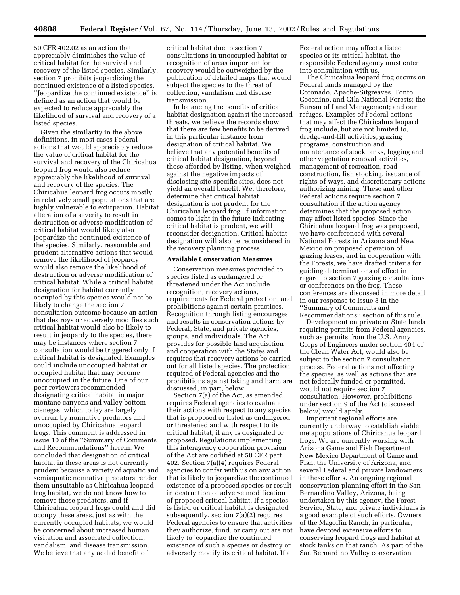50 CFR 402.02 as an action that appreciably diminishes the value of critical habitat for the survival and recovery of the listed species. Similarly, section 7 prohibits jeopardizing the continued existence of a listed species. ''Jeopardize the continued existence'' is defined as an action that would be expected to reduce appreciably the likelihood of survival and recovery of a listed species.

Given the similarity in the above definitions, in most cases Federal actions that would appreciably reduce the value of critical habitat for the survival and recovery of the Chiricahua leopard frog would also reduce appreciably the likelihood of survival and recovery of the species. The Chiricahua leopard frog occurs mostly in relatively small populations that are highly vulnerable to extirpation. Habitat alteration of a severity to result in destruction or adverse modification of critical habitat would likely also jeopardize the continued existence of the species. Similarly, reasonable and prudent alternative actions that would remove the likelihood of jeopardy would also remove the likelihood of destruction or adverse modification of critical habitat. While a critical habitat designation for habitat currently occupied by this species would not be likely to change the section 7 consultation outcome because an action that destroys or adversely modifies such critical habitat would also be likely to result in jeopardy to the species, there may be instances where section 7 consultation would be triggered only if critical habitat is designated. Examples could include unoccupied habitat or occupied habitat that may become unoccupied in the future. One of our peer reviewers recommended designating critical habitat in major montane canyons and valley bottom cienegas, which today are largely overrun by nonnative predators and unoccupied by Chiricahua leopard frogs. This comment is addressed in issue 10 of the ''Summary of Comments and Recommendations'' herein. We concluded that designation of critical habitat in these areas is not currently prudent because a variety of aquatic and semiaquatic nonnative predators render them unsuitable as Chiricahua leopard frog habitat, we do not know how to remove those predators, and if Chiricahua leopard frogs could and did occupy these areas, just as with the currently occupied habitats, we would be concerned about increased human visitation and associated collection, vandalism, and disease transmission. We believe that any added benefit of

critical habitat due to section 7 consultations in unoccupied habitat or recognition of areas important for recovery would be outweighed by the publication of detailed maps that would subject the species to the threat of collection, vandalism and disease transmission.

In balancing the benefits of critical habitat designation against the increased threats, we believe the records show that there are few benefits to be derived in this particular instance from designation of critical habitat. We believe that any potential benefits of critical habitat designation, beyond those afforded by listing, when weighed against the negative impacts of disclosing site-specific sites, does not yield an overall benefit. We, therefore, determine that critical habitat designation is not prudent for the Chiricahua leopard frog. If information comes to light in the future indicating critical habitat is prudent, we will reconsider designation. Critical habitat designation will also be reconsidered in the recovery planning process.

#### **Available Conservation Measures**

Conservation measures provided to species listed as endangered or threatened under the Act include recognition, recovery actions, requirements for Federal protection, and prohibitions against certain practices. Recognition through listing encourages and results in conservation actions by Federal, State, and private agencies, groups, and individuals. The Act provides for possible land acquisition and cooperation with the States and requires that recovery actions be carried out for all listed species. The protection required of Federal agencies and the prohibitions against taking and harm are discussed, in part, below.

Section 7(a) of the Act, as amended, requires Federal agencies to evaluate their actions with respect to any species that is proposed or listed as endangered or threatened and with respect to its critical habitat, if any is designated or proposed. Regulations implementing this interagency cooperation provision of the Act are codified at 50 CFR part 402. Section 7(a)(4) requires Federal agencies to confer with us on any action that is likely to jeopardize the continued existence of a proposed species or result in destruction or adverse modification of proposed critical habitat. If a species is listed or critical habitat is designated subsequently, section 7(a)(2) requires Federal agencies to ensure that activities they authorize, fund, or carry out are not likely to jeopardize the continued existence of such a species or destroy or adversely modify its critical habitat. If a

Federal action may affect a listed species or its critical habitat, the responsible Federal agency must enter into consultation with us.

The Chiricahua leopard frog occurs on Federal lands managed by the Coronado, Apache-Sitgreaves, Tonto, Coconino, and Gila National Forests; the Bureau of Land Management; and our refuges. Examples of Federal actions that may affect the Chiricahua leopard frog include, but are not limited to, dredge-and-fill activities, grazing programs, construction and maintenance of stock tanks, logging and other vegetation removal activities, management of recreation, road construction, fish stocking, issuance of rights-of-ways, and discretionary actions authorizing mining. These and other Federal actions require section 7 consultation if the action agency determines that the proposed action may affect listed species. Since the Chiricahua leopard frog was proposed, we have conferenced with several National Forests in Arizona and New Mexico on proposed operation of grazing leases, and in cooperation with the Forests, we have drafted criteria for guiding determinations of effect in regard to section 7 grazing consultations or conferences on the frog. These conferences are discussed in more detail in our response to Issue 8 in the ''Summary of Comments and Recommendations'' section of this rule.

Development on private or State lands requiring permits from Federal agencies, such as permits from the U.S. Army Corps of Engineers under section 404 of the Clean Water Act, would also be subject to the section 7 consultation process. Federal actions not affecting the species, as well as actions that are not federally funded or permitted, would not require section 7 consultation. However, prohibitions under section 9 of the Act (discussed below) would apply.

Important regional efforts are currently underway to establish viable metapopulations of Chiricahua leopard frogs. We are currently working with Arizona Game and Fish Department, New Mexico Department of Game and Fish, the University of Arizona, and several Federal and private landowners in these efforts. An ongoing regional conservation planning effort in the San Bernardino Valley, Arizona, being undertaken by this agency, the Forest Service, State, and private individuals is a good example of such efforts. Owners of the Magoffin Ranch, in particular, have devoted extensive efforts to conserving leopard frogs and habitat at stock tanks on that ranch. As part of the San Bernardino Valley conservation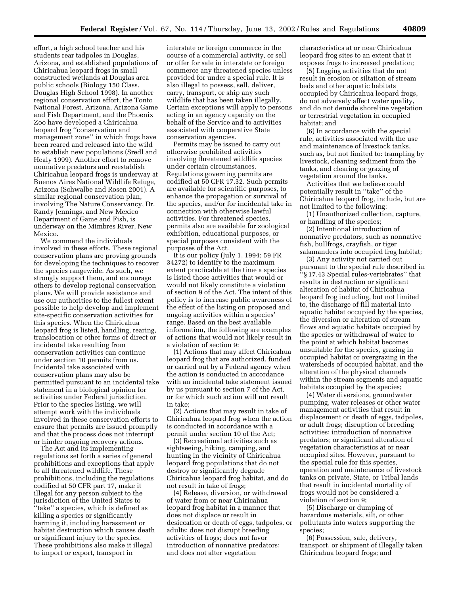effort, a high school teacher and his students rear tadpoles in Douglas, Arizona, and established populations of Chiricahua leopard frogs in small constructed wetlands at Douglas area public schools (Biology 150 Class, Douglas High School 1998). In another regional conservation effort, the Tonto National Forest, Arizona, Arizona Game and Fish Department, and the Phoenix Zoo have developed a Chiricahua leopard frog ''conservation and management zone'' in which frogs have been reared and released into the wild to establish new populations (Sredl and Healy 1999). Another effort to remove nonnative predators and reestablish Chiricahua leopard frogs is underway at Buenos Aires National Wildlife Refuge, Arizona (Schwalbe and Rosen 2001). A similar regional conservation plan, involving The Nature Conservancy, Dr. Randy Jennings, and New Mexico Department of Game and Fish, is underway on the Mimbres River, New Mexico.

We commend the individuals involved in these efforts. These regional conservation plans are proving grounds for developing the techniques to recover the species rangewide. As such, we strongly support them, and encourage others to develop regional conservation plans. We will provide assistance and use our authorities to the fullest extent possible to help develop and implement site-specific conservation activities for this species. When the Chiricahua leopard frog is listed, handling, rearing, translocation or other forms of direct or incidental take resulting from conservation activities can continue under section 10 permits from us. Incidental take associated with conservation plans may also be permitted pursuant to an incidental take statement in a biological opinion for activities under Federal jurisdiction. Prior to the species listing, we will attempt work with the individuals involved in these conservation efforts to ensure that permits are issued promptly and that the process does not interrupt or hinder ongoing recovery actions.

The Act and its implementing regulations set forth a series of general prohibitions and exceptions that apply to all threatened wildlife. These prohibitions, including the regulations codified at 50 CFR part 17, make it illegal for any person subject to the jurisdiction of the United States to ''take'' a species, which is defined as killing a species or significantly harming it, including harassment or habitat destruction which causes death or significant injury to the species. These prohibitions also make it illegal to import or export, transport in

interstate or foreign commerce in the course of a commercial activity, or sell or offer for sale in interstate or foreign commerce any threatened species unless provided for under a special rule. It is also illegal to possess, sell, deliver, carry, transport, or ship any such wildlife that has been taken illegally. Certain exceptions will apply to persons acting in an agency capacity on the behalf of the Service and to activities associated with cooperative State conservation agencies.

Permits may be issued to carry out otherwise prohibited activities involving threatened wildlife species under certain circumstances. Regulations governing permits are codified at 50 CFR 17.32. Such permits are available for scientific purposes, to enhance the propagation or survival of the species, and/or for incidental take in connection with otherwise lawful activities. For threatened species, permits also are available for zoological exhibition, educational purposes, or special purposes consistent with the purposes of the Act.

It is our policy (July 1, 1994; 59 FR 34272) to identify to the maximum extent practicable at the time a species is listed those activities that would or would not likely constitute a violation of section 9 of the Act. The intent of this policy is to increase public awareness of the effect of the listing on proposed and ongoing activities within a species' range. Based on the best available information, the following are examples of actions that would not likely result in a violation of section 9:

(1) Actions that may affect Chiricahua leopard frog that are authorized, funded or carried out by a Federal agency when the action is conducted in accordance with an incidental take statement issued by us pursuant to section 7 of the Act, or for which such action will not result in take;

(2) Actions that may result in take of Chiricahua leopard frog when the action is conducted in accordance with a permit under section 10 of the Act;

(3) Recreational activities such as sightseeing, hiking, camping, and hunting in the vicinity of Chiricahua leopard frog populations that do not destroy or significantly degrade Chiricahua leopard frog habitat, and do not result in take of frogs;

(4) Release, diversion, or withdrawal of water from or near Chiricahua leopard frog habitat in a manner that does not displace or result in desiccation or death of eggs, tadpoles, or adults; does not disrupt breeding activities of frogs; does not favor introduction of nonnative predators; and does not alter vegetation

characteristics at or near Chiricahua leopard frog sites to an extent that it exposes frogs to increased predation;

(5) Logging activities that do not result in erosion or siltation of stream beds and other aquatic habitats occupied by Chiricahua leopard frogs, do not adversely affect water quality, and do not denude shoreline vegetation or terrestrial vegetation in occupied habitat; and

(6) In accordance with the special rule, activities associated with the use and maintenance of livestock tanks, such as, but not limited to: trampling by livestock, cleaning sediment from the tanks, and clearing or grazing of vegetation around the tanks.

Activities that we believe could potentially result in ''take'' of the Chiricahua leopard frog, include, but are not limited to the following:

(1) Unauthorized collection, capture, or handling of the species;

(2) Intentional introduction of nonnative predators, such as nonnative fish, bullfrogs, crayfish, or tiger salamanders into occupied frog habitat;

(3) Any activity not carried out pursuant to the special rule described in ''§ 17.43 Special rules-vertebrates'' that results in destruction or significant alteration of habitat of Chiricahua leopard frog including, but not limited to, the discharge of fill material into aquatic habitat occupied by the species, the diversion or alteration of stream flows and aquatic habitats occupied by the species or withdrawal of water to the point at which habitat becomes unsuitable for the species, grazing in occupied habitat or overgrazing in the watersheds of occupied habitat, and the alteration of the physical channels within the stream segments and aquatic habitats occupied by the species;

(4) Water diversions, groundwater pumping, water releases or other water management activities that result in displacement or death of eggs, tadpoles, or adult frogs; disruption of breeding activities; introduction of nonnative predators; or significant alteration of vegetation characteristics at or near occupied sites. However, pursuant to the special rule for this species, operation and maintenance of livestock tanks on private, State, or Tribal lands that result in incidental mortality of frogs would not be considered a violation of section 9;

(5) Discharge or dumping of hazardous materials, silt, or other pollutants into waters supporting the species;

(6) Possession, sale, delivery, transport, or shipment of illegally taken Chiricahua leopard frogs; and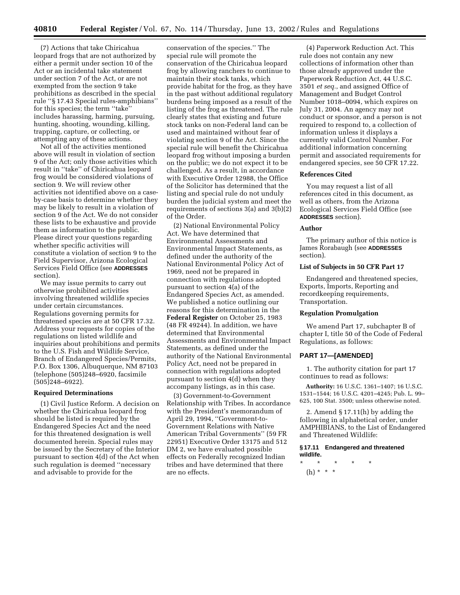(7) Actions that take Chiricahua leopard frogs that are not authorized by either a permit under section 10 of the Act or an incidental take statement under section 7 of the Act, or are not exempted from the section 9 take prohibitions as described in the special rule ''§ 17.43 Special rules-amphibians'' for this species; the term ''take'' includes harassing, harming, pursuing, hunting, shooting, wounding, killing, trapping, capture, or collecting, or attempting any of these actions.

Not all of the activities mentioned above will result in violation of section 9 of the Act; only those activities which result in ''take'' of Chiricahua leopard frog would be considered violations of section 9. We will review other activities not identified above on a caseby-case basis to determine whether they may be likely to result in a violation of section 9 of the Act. We do not consider these lists to be exhaustive and provide them as information to the public. Please direct your questions regarding whether specific activities will constitute a violation of section 9 to the Field Supervisor, Arizona Ecological Services Field Office (see **ADDRESSES** section).

We may issue permits to carry out otherwise prohibited activities involving threatened wildlife species under certain circumstances. Regulations governing permits for threatened species are at 50 CFR 17.32. Address your requests for copies of the regulations on listed wildlife and inquiries about prohibitions and permits to the U.S. Fish and Wildlife Service, Branch of Endangered Species/Permits, P.O. Box 1306, Albuquerque, NM 87103 (telephone (505)248–6920, facsimile (505)248–6922).

#### **Required Determinations**

(1) Civil Justice Reform. A decision on whether the Chiricahua leopard frog should be listed is required by the Endangered Species Act and the need for this threatened designation is well documented herein. Special rules may be issued by the Secretary of the Interior pursuant to section 4(d) of the Act when such regulation is deemed ''necessary and advisable to provide for the

conservation of the species.'' The special rule will promote the conservation of the Chiricahua leopard frog by allowing ranchers to continue to maintain their stock tanks, which provide habitat for the frog, as they have in the past without additional regulatory burdens being imposed as a result of the listing of the frog as threatened. The rule clearly states that existing and future stock tanks on non-Federal land can be used and maintained without fear of violating section 9 of the Act. Since the special rule will benefit the Chiricahua leopard frog without imposing a burden on the public; we do not expect it to be challenged. As a result, in accordance with Executive Order 12988, the Office of the Solicitor has determined that the listing and special rule do not unduly burden the judicial system and meet the requirements of sections 3(a) and 3(b)(2) of the Order.

(2) National Environmental Policy Act. We have determined that Environmental Assessments and Environmental Impact Statements, as defined under the authority of the National Environmental Policy Act of 1969, need not be prepared in connection with regulations adopted pursuant to section 4(a) of the Endangered Species Act, as amended. We published a notice outlining our reasons for this determination in the **Federal Register** on October 25, 1983  $(48 FR 49244)$ . In addition, we have determined that Environmental Assessments and Environmental Impact Statements, as defined under the authority of the National Environmental Policy Act, need not be prepared in connection with regulations adopted pursuant to section 4(d) when they accompany listings, as in this case.

(3) Government-to-Government Relationship with Tribes. In accordance with the President's memorandum of April 29, 1994, ''Government-to-Government Relations with Native American Tribal Governments'' (59 FR 22951) Executive Order 13175 and 512 DM 2, we have evaluated possible effects on Federally recognized Indian tribes and have determined that there are no effects.

(4) Paperwork Reduction Act. This rule does not contain any new collections of information other than those already approved under the Paperwork Reduction Act, 44 U.S.C. 3501 *et seq.*, and assigned Office of Management and Budget Control Number 1018–0094, which expires on July 31, 2004. An agency may not conduct or sponsor, and a person is not required to respond to, a collection of information unless it displays a currently valid Control Number. For additional information concerning permit and associated requirements for endangered species, see 50 CFR 17.22.

#### **References Cited**

You may request a list of all references cited in this document, as well as others, from the Arizona Ecological Services Field Office (see **ADDRESSES** section).

#### **Author**

The primary author of this notice is James Rorabaugh (see **ADDRESSES** section).

#### **List of Subjects in 50 CFR Part 17**

Endangered and threatened species, Exports, Imports, Reporting and recordkeeping requirements, Transportation.

#### **Regulation Promulgation**

We amend Part 17, subchapter B of chapter I, title 50 of the Code of Federal Regulations, as follows:

#### **PART 17—[AMENDED]**

1. The authority citation for part 17 continues to read as follows:

**Authority:** 16 U.S.C. 1361–1407; 16 U.S.C. 1531–1544; 16 U.S.C. 4201–4245; Pub. L. 99– 625, 100 Stat. 3500; unless otherwise noted.

2. Amend § 17.11(h) by adding the following in alphabetical order, under AMPHIBIANS, to the List of Endangered and Threatened Wildlife:

#### **§ 17.11 Endangered and threatened wildlife.**

\* \* \* \* \* (h) \* \* \*